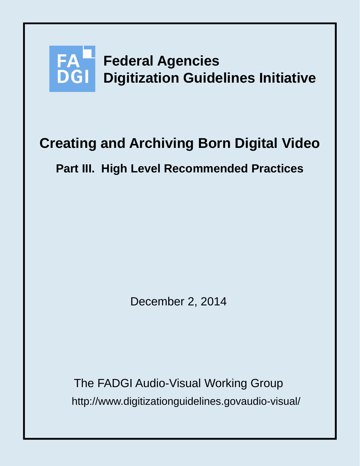

# **Creating and Archiving Born Digital Video**

## **Part III. High Level Recommended Practices**

December 2, 2014

http://www.digitizationguidelines.govaudio-visual/ The FADGI Audio-Visual Working Group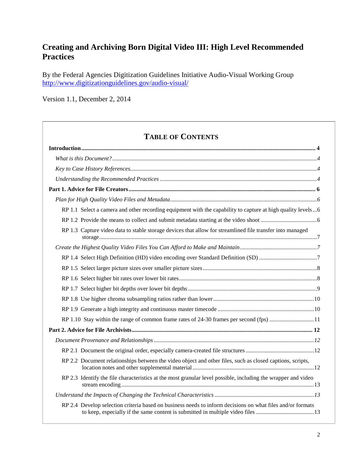## **Creating and Archiving Born Digital Video III: High Level Recommended Practices**

By the Federal Agencies Digitization Guidelines Initiative Audio-Visual Working Group <http://www.digitizationguidelines.gov/audio-visual/>

Version 1.1, December 2, 2014

## **TABLE OF CONTENTS**

| RP 1.1 Select a camera and other recording equipment with the capability to capture at high quality levels6   |  |
|---------------------------------------------------------------------------------------------------------------|--|
|                                                                                                               |  |
| RP 1.3 Capture video data to stable storage devices that allow for streamlined file transfer into managed     |  |
|                                                                                                               |  |
|                                                                                                               |  |
|                                                                                                               |  |
|                                                                                                               |  |
|                                                                                                               |  |
|                                                                                                               |  |
|                                                                                                               |  |
| RP 1.10 Stay within the range of common frame rates of 24-30 frames per second (fps) 11                       |  |
|                                                                                                               |  |
|                                                                                                               |  |
|                                                                                                               |  |
| RP 2.2 Document relationships between the video object and other files, such as closed captions, scripts,     |  |
| RP 2.3 Identify the file characteristics at the most granular level possible, including the wrapper and video |  |
|                                                                                                               |  |
| RP 2.4 Develop selection criteria based on business needs to inform decisions on what files and/or formats    |  |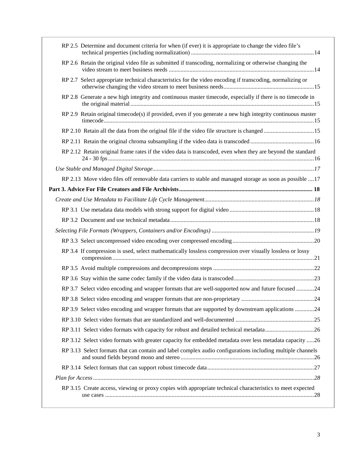| RP 2.5 Determine and document criteria for when (if ever) it is appropriate to change the video file's      |  |
|-------------------------------------------------------------------------------------------------------------|--|
| RP 2.6 Retain the original video file as submitted if transcoding, normalizing or otherwise changing the    |  |
| RP 2.7 Select appropriate technical characteristics for the video encoding if transcoding, normalizing or   |  |
| RP 2.8 Generate a new high integrity and continuous master timecode, especially if there is no timecode in  |  |
| RP 2.9 Retain original timecode(s) if provided, even if you generate a new high integrity continuous master |  |
|                                                                                                             |  |
|                                                                                                             |  |
| RP 2.12 Retain original frame rates if the video data is transcoded, even when they are beyond the standard |  |
|                                                                                                             |  |
| RP 2.13 Move video files off removable data carriers to stable and managed storage as soon as possible 17   |  |
|                                                                                                             |  |
|                                                                                                             |  |
|                                                                                                             |  |
|                                                                                                             |  |
|                                                                                                             |  |
|                                                                                                             |  |
| RP 3.4 If compression is used, select mathematically lossless compression over visually lossless or lossy   |  |
|                                                                                                             |  |
|                                                                                                             |  |
| RP 3.7 Select video encoding and wrapper formats that are well-supported now and future focused 24          |  |
|                                                                                                             |  |
| RP 3.9 Select video encoding and wrapper formats that are supported by downstream applications 24           |  |
|                                                                                                             |  |
|                                                                                                             |  |
| RP 3.12 Select video formats with greater capacity for embedded metadata over less metadata capacity 26     |  |
| RP 3.13 Select formats that can contain and label complex audio configurations including multiple channels  |  |
|                                                                                                             |  |
|                                                                                                             |  |
| RP 3.15 Create access, viewing or proxy copies with appropriate technical characteristics to meet expected  |  |
|                                                                                                             |  |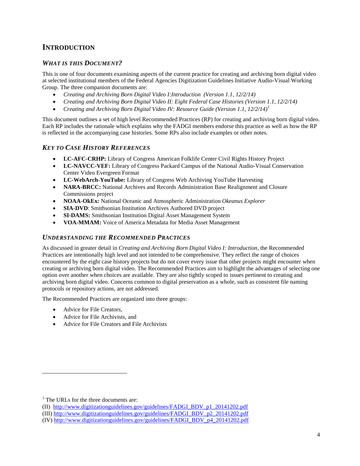#### <span id="page-3-0"></span>**INTRODUCTION**

#### <span id="page-3-1"></span>*WHAT IS THIS DOCUMENT?*

This is one of four documents examining aspects of the current practice for creating and archiving born digital video at selected institutional members of the Federal Agencies Digitization Guidelines Initiative Audio-Visual Working Group. The three companion documents are:

- *Creating and Archiving Born Digital Video I:Introduction (Version 1.1, 12/2/14)*
- *Creating and Archiving Born Digital Video II: Eight Federal Case Histories (Version 1.1, 12/2/14)*
- *Creating and Archiving Born Digital Video IV: Resource Guide (Version 1.1, 12/2/14) [1](#page-3-4)*

This document outlines a set of high level Recommended Practices (RP) for creating and archiving born digital video. Each RP includes the rationale which explains why the FADGI members endorse this practice as well as how the RP is reflected in the accompanying case histories. Some RPs also include examples or other notes.

#### <span id="page-3-2"></span>*KEY TO CASE HISTORY REFERENCES*

- **LC-AFC-CRHP:** Library of Congress American Folklife Center Civil Rights History Project
- **LC-NAVCC-VEF:** Library of Congress Packard Campus of the National Audio-Visual Conservation Center Video Evergreen Format
- **LC-WebArch-YouTube:** Library of Congress Web Archiving YouTube Harvesting
- **NARA-BRCC:** National Archives and Records Administration Base Realignment and Closure Commissions project
- **NOAA-OkEx:** National Oceanic and Atmospheric Administration *Okeanus Explorer*
- **SIA-DVD**: Smithsonian Institution Archives Authored DVD project
- **SI-DAMS:** Smithsonian Institution Digital Asset Management System
- **VOA-MMAM:** Voice of America Metadata for Media Asset Management

#### <span id="page-3-3"></span>*UNDERSTANDING THE RECOMMENDED PRACTICES*

As discussed in greater detail in *Creating and Archiving Born Digital Video I: Introduction,* the Recommended Practices are intentionally high level and not intended to be comprehensive. They reflect the range of choices encountered by the eight case history projects but do not cover every issue that other projects might encounter when creating or archiving born digital video. The Recommended Practices aim to highlight the advantages of selecting one option over another when choices are available. They are also tightly scoped to issues pertinent to creating and archiving born digital video. Concerns common to digital preservation as a whole, such as consistent file naming protocols or repository actions, are not addressed.

The Recommended Practices are organized into three groups:

- Advice for File Creators,
- Advice for File Archivists, and
- Advice for File Creators and File Archivists

 $\overline{a}$ 

<span id="page-3-4"></span><sup>&</sup>lt;sup>1</sup> The URLs for the three documents are:

<sup>(</sup>II) [http://www.digitizationguidelines.gov/guidelines/FADGI\\_BDV\\_p1\\_20141202.pdf](http://www.digitizationguidelines.gov/guidelines/FADGI_BDV_p1_20141202.pdf)

<sup>(</sup>III) [http://www.digitizationguidelines.gov/guidelines/FADGI\\_BDV\\_p2\\_20141202.pdf](http://www.digitizationguidelines.gov/guidelines/FADGI_BDV_p2_20141202.pdf)

<sup>(</sup>IV[\) http://www.digitizationguidelines.gov/guidelines/FADGI\\_BDV\\_p4\\_20141202.pdf](http://www.digitizationguidelines.gov/guidelines/FADGI_BDV_p4_20141202.pdf)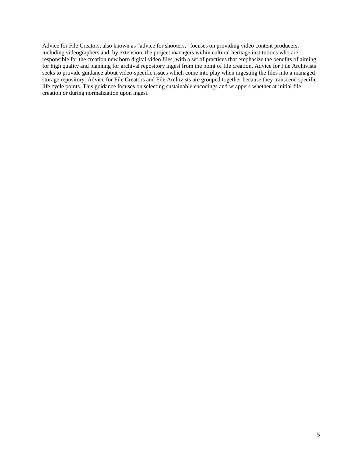Advice for File Creators, also known as "advice for shooters," focuses on providing video content producers, including videographers and, by extension, the project managers within cultural heritage institutions who are responsible for the creation new born digital video files, with a set of practices that emphasize the benefits of aiming for high quality and planning for archival repository ingest from the point of file creation. Advice for File Archivists seeks to provide guidance about video-specific issues which come into play when ingesting the files into a managed storage repository. Advice for File Creators and File Archivists are grouped together because they transcend specific life cycle points. This guidance focuses on selecting sustainable encodings and wrappers whether at initial file creation or during normalization upon ingest.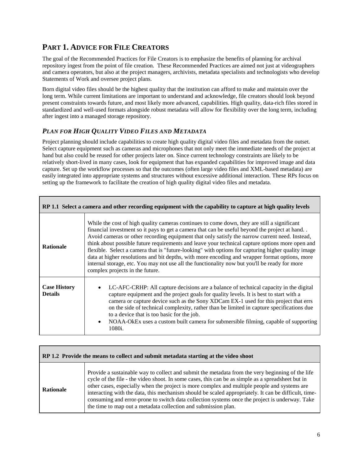## <span id="page-5-0"></span>**PART 1. ADVICE FOR FILE CREATORS**

The goal of the Recommended Practices for File Creators is to emphasize the benefits of planning for archival repository ingest from the point of file creation. These Recommended Practices are aimed not just at videographers and camera operators, but also at the project managers, archivists, metadata specialists and technologists who develop Statements of Work and oversee project plans.

Born digital video files should be the highest quality that the institution can afford to make and maintain over the long term. While current limitations are important to understand and acknowledge, file creators should look beyond present constraints towards future, and most likely more advanced, capabilities. High quality, data-rich files stored in standardized and well-used formats alongside robust metadata will allow for flexibility over the long term, including after ingest into a managed storage repository.

#### <span id="page-5-1"></span>*PLAN FOR HIGH QUALITY VIDEO FILES AND METADATA*

Project planning should include capabilities to create high quality digital video files and metadata from the outset. Select capture equipment such as cameras and microphones that not only meet the immediate needs of the project at hand but also could be reused for other projects later on. Since current technology constraints are likely to be relatively short-lived in many cases, look for equipment that has expanded capabilities for improved image and data capture. Set up the workflow processes so that the outcomes (often large video files and XML-based metadata) are easily integrated into appropriate systems and structures without excessive additional interaction. These RPs focus on setting up the framework to facilitate the creation of high quality digital video files and metadata.

<span id="page-5-2"></span>

| RP 1.1 Select a camera and other recording equipment with the capability to capture at high quality levels |                                                                                                                                                                                                                                                                                                                                                                                                                                                                                                                                                                                                                                                                                                                                               |  |
|------------------------------------------------------------------------------------------------------------|-----------------------------------------------------------------------------------------------------------------------------------------------------------------------------------------------------------------------------------------------------------------------------------------------------------------------------------------------------------------------------------------------------------------------------------------------------------------------------------------------------------------------------------------------------------------------------------------------------------------------------------------------------------------------------------------------------------------------------------------------|--|
| <b>Rationale</b>                                                                                           | While the cost of high quality cameras continues to come down, they are still a significant<br>financial investment so it pays to get a camera that can be useful beyond the project at hand<br>Avoid cameras or other recording equipment that only satisfy the narrow current need. Instead,<br>think about possible future requirements and leave your technical capture options more open and<br>flexible. Select a camera that is "future-looking" with options for capturing higher quality image<br>data at higher resolutions and bit depths, with more encoding and wrapper format options, more<br>internal storage, etc. You may not use all the functionality now but you'll be ready for more<br>complex projects in the future. |  |
| <b>Case History</b><br><b>Details</b>                                                                      | LC-AFC-CRHP: All capture decisions are a balance of technical capacity in the digital<br>capture equipment and the project goals for quality levels. It is best to start with a<br>camera or capture device such as the Sony XDCam EX-1 used for this project that errs<br>on the side of technical complexity, rather than be limited in capture specifications due<br>to a device that is too basic for the job.<br>NOAA-OkEx uses a custom built camera for submersible filming, capable of supporting<br>$\bullet$<br>1080i.                                                                                                                                                                                                              |  |

<span id="page-5-3"></span>

| RP 1.2 Provide the means to collect and submit metadata starting at the video shoot |                                                                                                                                                                                                                                                                                                                                                                                                                                                                                                                                                                                   |  |
|-------------------------------------------------------------------------------------|-----------------------------------------------------------------------------------------------------------------------------------------------------------------------------------------------------------------------------------------------------------------------------------------------------------------------------------------------------------------------------------------------------------------------------------------------------------------------------------------------------------------------------------------------------------------------------------|--|
| <b>Rationale</b>                                                                    | Provide a sustainable way to collect and submit the metadata from the very beginning of the life<br>cycle of the file - the video shoot. In some cases, this can be as simple as a spreadsheet but in<br>other cases, especially when the project is more complex and multiple people and systems are<br>interacting with the data, this mechanism should be scaled appropriately. It can be difficult, time-<br>consuming and error-prone to switch data collection systems once the project is underway. Take<br>the time to map out a metadata collection and submission plan. |  |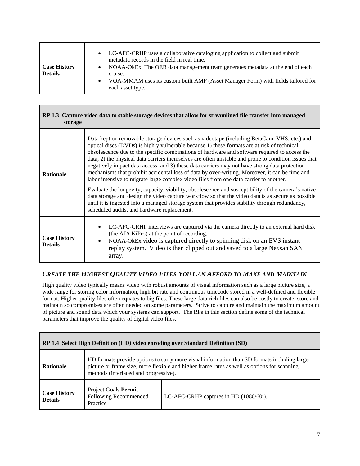<span id="page-6-0"></span>

| RP 1.3 Capture video data to stable storage devices that allow for streamlined file transfer into managed<br>storage |                                                                                                                                                                                                                                                                                                                                                                                                                                                                                                                                                                                                                                                                                                                                                                                                                                                                                                                                                                                                                                                                |  |
|----------------------------------------------------------------------------------------------------------------------|----------------------------------------------------------------------------------------------------------------------------------------------------------------------------------------------------------------------------------------------------------------------------------------------------------------------------------------------------------------------------------------------------------------------------------------------------------------------------------------------------------------------------------------------------------------------------------------------------------------------------------------------------------------------------------------------------------------------------------------------------------------------------------------------------------------------------------------------------------------------------------------------------------------------------------------------------------------------------------------------------------------------------------------------------------------|--|
| <b>Rationale</b>                                                                                                     | Data kept on removable storage devices such as videotape (including BetaCam, VHS, etc.) and<br>optical discs (DVDs) is highly vulnerable because 1) these formats are at risk of technical<br>obsolescence due to the specific combinations of hardware and software required to access the<br>data, 2) the physical data carriers themselves are often unstable and prone to condition issues that<br>negatively impact data access, and 3) these data carriers may not have strong data protection<br>mechanisms that prohibit accidental loss of data by over-writing. Moreover, it can be time and<br>labor intensive to migrate large complex video files from one data carrier to another.<br>Evaluate the longevity, capacity, viability, obsolescence and susceptibility of the camera's native<br>data storage and design the video capture workflow so that the video data is as secure as possible<br>until it is ingested into a managed storage system that provides stability through redundancy,<br>scheduled audits, and hardware replacement. |  |
| <b>Case History</b><br><b>Details</b>                                                                                | LC-AFC-CRHP interviews are captured via the camera directly to an external hard disk<br>$\bullet$<br>(the AJA KiPro) at the point of recording.<br>NOAA-OkEx video is captured directly to spinning disk on an EVS instant<br>$\bullet$<br>replay system. Video is then clipped out and saved to a large Nexsan SAN<br>array.                                                                                                                                                                                                                                                                                                                                                                                                                                                                                                                                                                                                                                                                                                                                  |  |

#### <span id="page-6-1"></span>*CREATE THE HIGHEST QUALITY VIDEO FILES YOU CAN AFFORD TO MAKE AND MAINTAIN*

High quality video typically means video with robust amounts of visual information such as a large picture size, a wide range for storing color information, high bit rate and continuous timecode stored in a well-defined and flexible format. Higher quality files often equates to big files. These large data rich files can also be costly to create, store and maintain so compromises are often needed on some parameters. Strive to capture and maintain the maximum amount of picture and sound data which your systems can support. The RPs in this section define some of the technical parameters that improve the quality of digital video files.

<span id="page-6-2"></span>

| RP 1.4 Select High Definition (HD) video encoding over Standard Definition (SD) |                                                                                                                                                                                                                                      |                                        |
|---------------------------------------------------------------------------------|--------------------------------------------------------------------------------------------------------------------------------------------------------------------------------------------------------------------------------------|----------------------------------------|
| <b>Rationale</b>                                                                | HD formats provide options to carry more visual information than SD formats including larger<br>picture or frame size, more flexible and higher frame rates as well as options for scanning<br>methods (interlaced and progressive). |                                        |
| <b>Case History</b><br><b>Details</b>                                           | Project Goals Permit<br>Following Recommended<br>Practice                                                                                                                                                                            | LC-AFC-CRHP captures in HD (1080/60i). |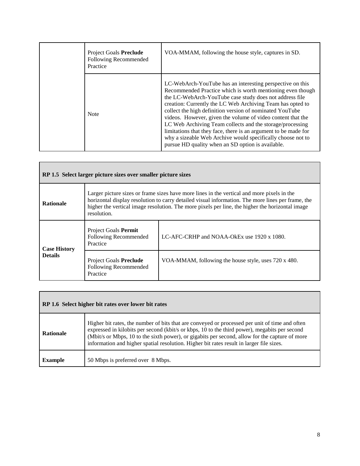| Project Goals Preclude<br>Following Recommended<br>Practice | VOA-MMAM, following the house style, captures in SD.                                                                                                                                                                                                                                                                                                                                                                                                                                                                                                                                                                            |
|-------------------------------------------------------------|---------------------------------------------------------------------------------------------------------------------------------------------------------------------------------------------------------------------------------------------------------------------------------------------------------------------------------------------------------------------------------------------------------------------------------------------------------------------------------------------------------------------------------------------------------------------------------------------------------------------------------|
| <b>Note</b>                                                 | LC-WebArch-YouTube has an interesting perspective on this<br>Recommended Practice which is worth mentioning even though<br>the LC-WebArch-YouTube case study does not address file<br>creation: Currently the LC Web Archiving Team has opted to<br>collect the high definition version of nominated YouTube<br>videos. However, given the volume of video content that the<br>LC Web Archiving Team collects and the storage/processing<br>limitations that they face, there is an argument to be made for<br>why a sizeable Web Archive would specifically choose not to<br>pursue HD quality when an SD option is available. |

<span id="page-7-0"></span>

| RP 1.5 Select larger picture sizes over smaller picture sizes |                                                                                                                                                                                                                                                                                                                   |                                                      |
|---------------------------------------------------------------|-------------------------------------------------------------------------------------------------------------------------------------------------------------------------------------------------------------------------------------------------------------------------------------------------------------------|------------------------------------------------------|
| <b>Rationale</b>                                              | Larger picture sizes or frame sizes have more lines in the vertical and more pixels in the<br>horizontal display resolution to carry detailed visual information. The more lines per frame, the<br>higher the vertical image resolution. The more pixels per line, the higher the horizontal image<br>resolution. |                                                      |
| <b>Case History</b><br><b>Details</b>                         | Project Goals Permit<br>Following Recommended<br>Practice                                                                                                                                                                                                                                                         | LC-AFC-CRHP and NOAA-OkEx use 1920 x 1080.           |
|                                                               | Project Goals Preclude<br>Following Recommended<br>Practice                                                                                                                                                                                                                                                       | VOA-MMAM, following the house style, uses 720 x 480. |

<span id="page-7-1"></span>

| RP 1.6 Select higher bit rates over lower bit rates |                                                                                                                                                                                                                                                                                                                                                                                               |  |
|-----------------------------------------------------|-----------------------------------------------------------------------------------------------------------------------------------------------------------------------------------------------------------------------------------------------------------------------------------------------------------------------------------------------------------------------------------------------|--|
| <b>Rationale</b>                                    | Higher bit rates, the number of bits that are conveyed or processed per unit of time and often<br>expressed in kilobits per second (kbit/s or kbps, 10 to the third power), megabits per second<br>(Mbit/s or Mbps, 10 to the sixth power), or gigabits per second, allow for the capture of more<br>information and higher spatial resolution. Higher bit rates result in larger file sizes. |  |
| <b>Example</b>                                      | 50 Mbps is preferred over 8 Mbps.                                                                                                                                                                                                                                                                                                                                                             |  |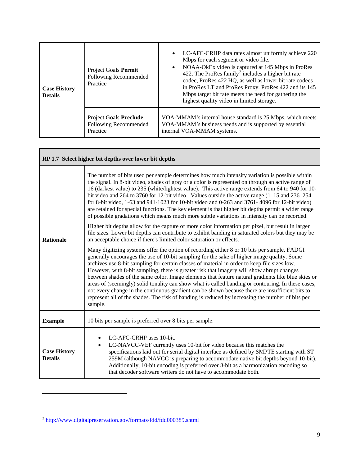| <b>Case History</b><br><b>Details</b> | Project Goals Permit<br>Following Recommended<br>Practice          | LC-AFC-CRHP data rates almost uniformly achieve 220<br>$\bullet$<br>Mbps for each segment or video file.<br>NOAA-OkEx video is captured at 145 Mbps in ProRes<br>$\bullet$<br>422. The ProRes family <sup>2</sup> includes a higher bit rate<br>codec, ProRes 422 HQ, as well as lower bit rate codecs<br>in ProRes LT and ProRes Proxy. ProRes 422 and its 145<br>Mbps target bit rate meets the need for gathering the<br>highest quality video in limited storage. |
|---------------------------------------|--------------------------------------------------------------------|-----------------------------------------------------------------------------------------------------------------------------------------------------------------------------------------------------------------------------------------------------------------------------------------------------------------------------------------------------------------------------------------------------------------------------------------------------------------------|
|                                       | <b>Project Goals Preclude</b><br>Following Recommended<br>Practice | VOA-MMAM's internal house standard is 25 Mbps, which meets<br>VOA-MMAM's business needs and is supported by essential<br>internal VOA-MMAM systems.                                                                                                                                                                                                                                                                                                                   |

<span id="page-8-0"></span>

| RP 1.7 Select higher bit depths over lower bit depths |                                                                                                                                                                                                                                                                                                                                                                                                                                                                                                                                                                                                                                                                                                                                                                                                                      |  |
|-------------------------------------------------------|----------------------------------------------------------------------------------------------------------------------------------------------------------------------------------------------------------------------------------------------------------------------------------------------------------------------------------------------------------------------------------------------------------------------------------------------------------------------------------------------------------------------------------------------------------------------------------------------------------------------------------------------------------------------------------------------------------------------------------------------------------------------------------------------------------------------|--|
| <b>Rationale</b>                                      | The number of bits used per sample determines how much intensity variation is possible within<br>the signal. In 8-bit video, shades of gray or a color is represented on through an active range of<br>16 (darkest value) to 235 (white/lightest value). This active range extends from 64 to 940 for 10-<br>bit video and 264 to 3760 for 12-bit video. Values outside the active range $(1-15 \text{ and } 236-254 \text{)}$<br>for 8-bit video, 1-63 and 941-1023 for 10-bit video and 0-263 and 3761-4096 for 12-bit video)<br>are retained for special functions. The key element is that higher bit depths permit a wider range<br>of possible gradations which means much more subtle variations in intensity can be recorded.                                                                                |  |
|                                                       | Higher bit depths allow for the capture of more color information per pixel, but result in larger<br>file sizes. Lower bit depths can contribute to exhibit banding in saturated colors but they may be<br>an acceptable choice if there's limited color saturation or effects.                                                                                                                                                                                                                                                                                                                                                                                                                                                                                                                                      |  |
|                                                       | Many digitizing systems offer the option of recording either 8 or 10 bits per sample. FADGI<br>generally encourages the use of 10-bit sampling for the sake of higher image quality. Some<br>archives use 8-bit sampling for certain classes of material in order to keep file sizes low.<br>However, with 8-bit sampling, there is greater risk that imagery will show abrupt changes<br>between shades of the same color. Image elements that feature natural gradients like blue skies or<br>areas of (seemingly) solid tonality can show what is called banding or contouring. In these cases,<br>not every change in the continuous gradient can be shown because there are insufficient bits to<br>represent all of the shades. The risk of banding is reduced by increasing the number of bits per<br>sample. |  |
| <b>Example</b>                                        | 10 bits per sample is preferred over 8 bits per sample.                                                                                                                                                                                                                                                                                                                                                                                                                                                                                                                                                                                                                                                                                                                                                              |  |
| <b>Case History</b><br><b>Details</b>                 | LC-AFC-CRHP uses 10-bit.<br>LC-NAVCC-VEF currently uses 10-bit for video because this matches the<br>$\bullet$<br>specifications laid out for serial digital interface as defined by SMPTE starting with ST<br>259M (although NAVCC is preparing to accommodate native bit depths beyond 10-bit).<br>Additionally, 10-bit encoding is preferred over 8-bit as a harmonization encoding so<br>that decoder software writers do not have to accommodate both.                                                                                                                                                                                                                                                                                                                                                          |  |

 $\overline{a}$ 

Г

<span id="page-8-1"></span><sup>2</sup> <http://www.digitalpreservation.gov/formats/fdd/fdd000389.shtml>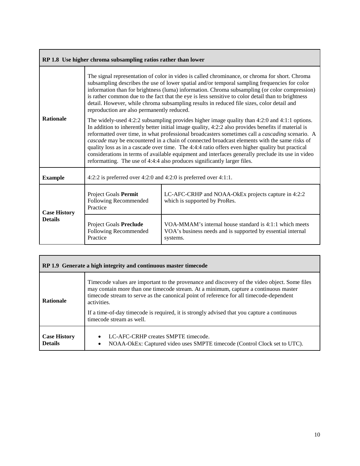<span id="page-9-0"></span>

| RP 1.8 Use higher chroma subsampling ratios rather than lower |                                                                                                                                                                                                                                                                                                                                                                                                                                                                                                                                                                                                                                                                                                     |                                                                                                                                    |
|---------------------------------------------------------------|-----------------------------------------------------------------------------------------------------------------------------------------------------------------------------------------------------------------------------------------------------------------------------------------------------------------------------------------------------------------------------------------------------------------------------------------------------------------------------------------------------------------------------------------------------------------------------------------------------------------------------------------------------------------------------------------------------|------------------------------------------------------------------------------------------------------------------------------------|
| <b>Rationale</b>                                              | The signal representation of color in video is called chrominance, or chroma for short. Chroma<br>subsampling describes the use of lower spatial and/or temporal sampling frequencies for color<br>information than for brightness (luma) information. Chroma subsampling (or color compression)<br>is rather common due to the fact that the eye is less sensitive to color detail than to brightness<br>detail. However, while chroma subsampling results in reduced file sizes, color detail and<br>reproduction are also permanently reduced.                                                                                                                                                   |                                                                                                                                    |
|                                                               | The widely-used 4:2:2 subsampling provides higher image quality than 4:2:0 and 4:1:1 options.<br>In addition to inherently better initial image quality, 4:2:2 also provides benefits if material is<br>reformatted over time, in what professional broadcasters sometimes call a <i>cascading</i> scenario. A<br>cascade may be encountered in a chain of connected broadcast elements with the same risks of<br>quality loss as in a cascade over time. The 4:4:4 ratio offers even higher quality but practical<br>considerations in terms of available equipment and interfaces generally preclude its use in video<br>reformatting. The use of 4:4:4 also produces significantly larger files. |                                                                                                                                    |
| <b>Example</b>                                                | 4:2:2 is preferred over 4:2:0 and 4:2:0 is preferred over $4:1:1$ .                                                                                                                                                                                                                                                                                                                                                                                                                                                                                                                                                                                                                                 |                                                                                                                                    |
| <b>Case History</b><br><b>Details</b>                         | Project Goals Permit<br>Following Recommended<br>Practice                                                                                                                                                                                                                                                                                                                                                                                                                                                                                                                                                                                                                                           | LC-AFC-CRHP and NOAA-OkEx projects capture in 4:2:2<br>which is supported by ProRes.                                               |
|                                                               | <b>Project Goals Preclude</b><br>Following Recommended<br>Practice                                                                                                                                                                                                                                                                                                                                                                                                                                                                                                                                                                                                                                  | VOA-MMAM's internal house standard is 4:1:1 which meets<br>VOA's business needs and is supported by essential internal<br>systems. |

<span id="page-9-1"></span>

| RP 1.9 Generate a high integrity and continuous master timecode |                                                                                                                                                                                                                                                                                                 |  |
|-----------------------------------------------------------------|-------------------------------------------------------------------------------------------------------------------------------------------------------------------------------------------------------------------------------------------------------------------------------------------------|--|
| <b>Rationale</b>                                                | Timecode values are important to the provenance and discovery of the video object. Some files<br>may contain more than one timecode stream. At a minimum, capture a continuous master<br>timecode stream to serve as the canonical point of reference for all timecode-dependent<br>activities. |  |
|                                                                 | If a time-of-day time code is required, it is strongly advised that you capture a continuous<br>timecode stream as well.                                                                                                                                                                        |  |
| <b>Case History</b><br><b>Details</b>                           | LC-AFC-CRHP creates SMPTE timecode.<br>NOAA-OkEx: Captured video uses SMPTE timecode (Control Clock set to UTC).<br>٠                                                                                                                                                                           |  |

٦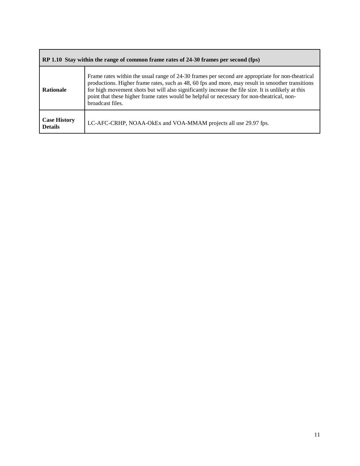<span id="page-10-0"></span>

| RP 1.10 Stay within the range of common frame rates of 24-30 frames per second (fps) |                                                                                                                                                                                                                                                                                                                                                                                                                              |
|--------------------------------------------------------------------------------------|------------------------------------------------------------------------------------------------------------------------------------------------------------------------------------------------------------------------------------------------------------------------------------------------------------------------------------------------------------------------------------------------------------------------------|
| <b>Rationale</b>                                                                     | Frame rates within the usual range of 24-30 frames per second are appropriate for non-theatrical<br>productions. Higher frame rates, such as 48, 60 fps and more, may result in smoother transitions<br>for high movement shots but will also significantly increase the file size. It is unlikely at this<br>point that these higher frame rates would be helpful or necessary for non-theatrical, non-<br>broadcast files. |
| <b>Case History</b><br><b>Details</b>                                                | LC-AFC-CRHP, NOAA-OkEx and VOA-MMAM projects all use 29.97 fps.                                                                                                                                                                                                                                                                                                                                                              |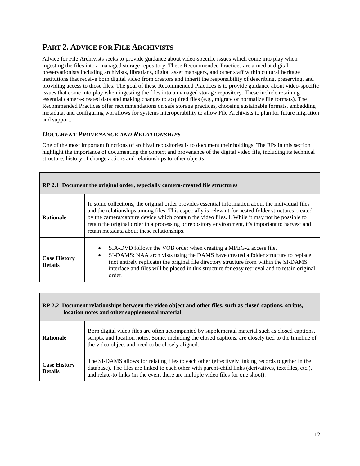### <span id="page-11-0"></span>**PART 2. ADVICE FOR FILE ARCHIVISTS**

Advice for File Archivists seeks to provide guidance about video-specific issues which come into play when ingesting the files into a managed storage repository. These Recommended Practices are aimed at digital preservationists including archivists, librarians, digital asset managers, and other staff within cultural heritage institutions that receive born digital video from creators and inherit the responsibility of describing, preserving, and providing access to those files. The goal of these Recommended Practices is to provide guidance about video-specific issues that come into play when ingesting the files into a managed storage repository. These include retaining essential camera-created data and making changes to acquired files (e.g., migrate or normalize file formats). The Recommended Practices offer recommendations on safe storage practices, choosing sustainable formats, embedding metadata, and configuring workflows for systems interoperability to allow File Archivists to plan for future migration and support.

#### <span id="page-11-1"></span>*DOCUMENT PROVENANCE AND RELATIONSHIPS*

One of the most important functions of archival repositories is to document their holdings. The RPs in this section highlight the importance of documenting the context and provenance of the digital video file, including its technical structure, history of change actions and relationships to other objects.

<span id="page-11-2"></span>

| RP 2.1 Document the original order, especially camera-created file structures |                                                                                                                                                                                                                                                                                                                                                                                                                                                                |  |
|-------------------------------------------------------------------------------|----------------------------------------------------------------------------------------------------------------------------------------------------------------------------------------------------------------------------------------------------------------------------------------------------------------------------------------------------------------------------------------------------------------------------------------------------------------|--|
| <b>Rationale</b>                                                              | In some collections, the original order provides essential information about the individual files<br>and the relationships among files. This especially is relevant for nested folder structures created<br>by the camera/capture device which contain the video files. l. While it may not be possible to<br>retain the original order in a processing or repository environment, it's important to harvest and<br>retain metadata about these relationships. |  |
| <b>Case History</b><br><b>Details</b>                                         | SIA-DVD follows the VOB order when creating a MPEG-2 access file.<br>$\bullet$<br>SI-DAMS: NAA archivists using the DAMS have created a folder structure to replace<br>(not entirely replicate) the original file directory structure from within the SI-DAMS<br>interface and files will be placed in this structure for easy retrieval and to retain original<br>order.                                                                                      |  |

<span id="page-11-3"></span>

| RP 2.2 Document relationships between the video object and other files, such as closed captions, scripts,<br>location notes and other supplemental material |                                                                                                                                                                                                                                                                                                |
|-------------------------------------------------------------------------------------------------------------------------------------------------------------|------------------------------------------------------------------------------------------------------------------------------------------------------------------------------------------------------------------------------------------------------------------------------------------------|
| <b>Rationale</b>                                                                                                                                            | Born digital video files are often accompanied by supplemental material such as closed captions,<br>scripts, and location notes. Some, including the closed captions, are closely tied to the timeline of<br>the video object and need to be closely aligned.                                  |
| <b>Case History</b><br><b>Details</b>                                                                                                                       | The SI-DAMS allows for relating files to each other (effectively linking records together in the<br>database). The files are linked to each other with parent-child links (derivatives, text files, etc.),<br>and relate-to links (in the event there are multiple video files for one shoot). |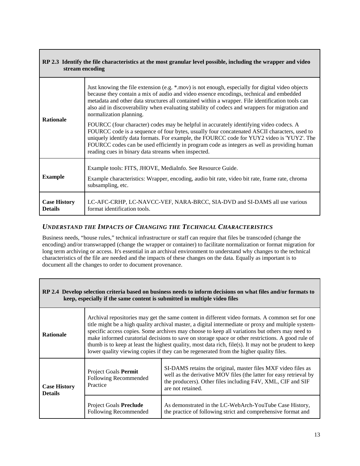<span id="page-12-0"></span>

| RP 2.3 Identify the file characteristics at the most granular level possible, including the wrapper and video<br>stream encoding |                                                                                                                                                                                                                                                                                                                                                                                                                                            |  |
|----------------------------------------------------------------------------------------------------------------------------------|--------------------------------------------------------------------------------------------------------------------------------------------------------------------------------------------------------------------------------------------------------------------------------------------------------------------------------------------------------------------------------------------------------------------------------------------|--|
| <b>Rationale</b>                                                                                                                 | Just knowing the file extension (e.g. *.mov) is not enough, especially for digital video objects<br>because they contain a mix of audio and video essence encodings, technical and embedded<br>metadata and other data structures all contained within a wrapper. File identification tools can<br>also aid in discoverability when evaluating stability of codecs and wrappers for migration and<br>normalization planning.               |  |
|                                                                                                                                  | FOURCC (four character) codes may be helpful in accurately identifying video codecs. A<br>FOURCC code is a sequence of four bytes, usually four concatenated ASCII characters, used to<br>uniquely identify data formats. For example, the FOURCC code for YUY2 video is 'YUY2'. The<br>FOURCC codes can be used efficiently in program code as integers as well as providing human<br>reading cues in binary data streams when inspected. |  |
| <b>Example</b>                                                                                                                   | Example tools: FITS, JHOVE, MediaInfo. See Resource Guide.<br>Example characteristics: Wrapper, encoding, audio bit rate, video bit rate, frame rate, chroma<br>subsampling, etc.                                                                                                                                                                                                                                                          |  |
| <b>Case History</b><br><b>Details</b>                                                                                            | LC-AFC-CRHP, LC-NAVCC-VEF, NARA-BRCC, SIA-DVD and SI-DAMS all use various<br>format identification tools.                                                                                                                                                                                                                                                                                                                                  |  |

#### <span id="page-12-1"></span>*UNDERSTAND THE IMPACTS OF CHANGING THE TECHNICAL CHARACTERISTICS*

Г

Business needs, "house rules," technical infrastructure or staff can require that files be transcoded (change the encoding) and/or transwrapped (change the wrapper or container) to facilitate normalization or format migration for long term archiving or access. It's essential in an archival environment to understand why changes to the technical characteristics of the file are needed and the impacts of these changes on the data. Equally as important is to document all the changes to order to document provenance.

<span id="page-12-2"></span>

| RP 2.4 Develop selection criteria based on business needs to inform decisions on what files and/or formats to<br>keep, especially if the same content is submitted in multiple video files |                                                                                                                                                                                                                                                                                                                                                                                                                                                                                                                                                                                                                  |                                                                                                                                                                                                                         |
|--------------------------------------------------------------------------------------------------------------------------------------------------------------------------------------------|------------------------------------------------------------------------------------------------------------------------------------------------------------------------------------------------------------------------------------------------------------------------------------------------------------------------------------------------------------------------------------------------------------------------------------------------------------------------------------------------------------------------------------------------------------------------------------------------------------------|-------------------------------------------------------------------------------------------------------------------------------------------------------------------------------------------------------------------------|
| <b>Rationale</b>                                                                                                                                                                           | Archival repositories may get the same content in different video formats. A common set for one<br>title might be a high quality archival master, a digital intermediate or proxy and multiple system-<br>specific access copies. Some archives may choose to keep all variations but others may need to<br>make informed curatorial decisions to save on storage space or other restrictions. A good rule of<br>thumb is to keep at least the highest quality, most data rich, file(s). It may not be prudent to keep<br>lower quality viewing copies if they can be regenerated from the higher quality files. |                                                                                                                                                                                                                         |
| <b>Case History</b><br><b>Details</b>                                                                                                                                                      | <b>Project Goals Permit</b><br>Following Recommended<br>Practice                                                                                                                                                                                                                                                                                                                                                                                                                                                                                                                                                 | SI-DAMS retains the original, master files MXF video files as<br>well as the derivative MOV files (the latter for easy retrieval by<br>the producers). Other files including F4V, XML, CIF and SIF<br>are not retained. |
|                                                                                                                                                                                            | Project Goals Preclude<br>Following Recommended                                                                                                                                                                                                                                                                                                                                                                                                                                                                                                                                                                  | As demonstrated in the LC-WebArch-YouTube Case History,<br>the practice of following strict and comprehensive format and                                                                                                |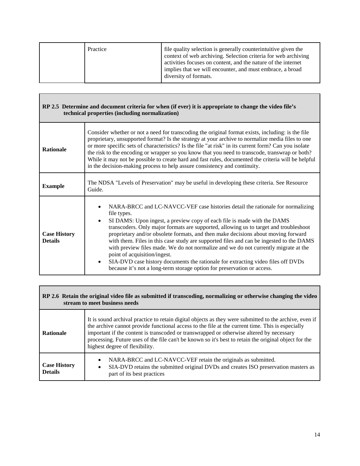| Practice | file quality selection is generally counterintuitive given the<br>context of web archiving. Selection criteria for web archiving<br>activities focuses on content, and the nature of the internet<br>implies that we will encounter, and must embrace, a broad<br>diversity of formats. |
|----------|-----------------------------------------------------------------------------------------------------------------------------------------------------------------------------------------------------------------------------------------------------------------------------------------|
|----------|-----------------------------------------------------------------------------------------------------------------------------------------------------------------------------------------------------------------------------------------------------------------------------------------|

Г

<span id="page-13-0"></span>

| RP 2.5 Determine and document criteria for when (if ever) it is appropriate to change the video file's<br>technical properties (including normalization) |                                                                                                                                                                                                                                                                                                                                                                                                                                                                                                                                                                                                                                                                                                                                                                   |  |
|----------------------------------------------------------------------------------------------------------------------------------------------------------|-------------------------------------------------------------------------------------------------------------------------------------------------------------------------------------------------------------------------------------------------------------------------------------------------------------------------------------------------------------------------------------------------------------------------------------------------------------------------------------------------------------------------------------------------------------------------------------------------------------------------------------------------------------------------------------------------------------------------------------------------------------------|--|
| <b>Rationale</b>                                                                                                                                         | Consider whether or not a need for transcoding the original format exists, including: is the file<br>proprietary, unsupported format? Is the strategy at your archive to normalize media files to one<br>or more specific sets of characteristics? Is the file "at risk" in its current form? Can you isolate<br>the risk to the encoding or wrapper so you know that you need to transcode, transwrap or both?<br>While it may not be possible to create hard and fast rules, documented the criteria will be helpful<br>in the decision-making process to help assure consistency and continuity.                                                                                                                                                               |  |
| <b>Example</b>                                                                                                                                           | The NDSA "Levels of Preservation" may be useful in developing these criteria. See Resource<br>Guide.                                                                                                                                                                                                                                                                                                                                                                                                                                                                                                                                                                                                                                                              |  |
| <b>Case History</b><br><b>Details</b>                                                                                                                    | NARA-BRCC and LC-NAVCC-VEF case histories detail the rationale for normalizing<br>file types.<br>SI DAMS: Upon ingest, a preview copy of each file is made with the DAMS<br>$\bullet$<br>transcoders. Only major formats are supported, allowing us to target and troubleshoot<br>proprietary and/or obsolete formats, and then make decisions about moving forward<br>with them. Files in this case study are supported files and can be ingested to the DAMS<br>with preview files made. We do not normalize and we do not currently migrate at the<br>point of acquisition/ingest.<br>SIA-DVD case history documents the rationale for extracting video files off DVDs<br>$\bullet$<br>because it's not a long-term storage option for preservation or access. |  |

<span id="page-13-1"></span>

| RP 2.6 Retain the original video file as submitted if transcoding, normalizing or otherwise changing the video<br>stream to meet business needs |                                                                                                                                                                                                                                                                                                                                                                                                                                                   |
|-------------------------------------------------------------------------------------------------------------------------------------------------|---------------------------------------------------------------------------------------------------------------------------------------------------------------------------------------------------------------------------------------------------------------------------------------------------------------------------------------------------------------------------------------------------------------------------------------------------|
| <b>Rationale</b>                                                                                                                                | It is sound archival practice to retain digital objects as they were submitted to the archive, even if<br>the archive cannot provide functional access to the file at the current time. This is especially<br>important if the content is transcoded or transwrapped or otherwise altered by necessary<br>processing. Future uses of the file can't be known so it's best to retain the original object for the<br>highest degree of flexibility. |
| <b>Case History</b><br><b>Details</b>                                                                                                           | NARA-BRCC and LC-NAVCC-VEF retain the originals as submitted.<br>$\bullet$<br>SIA-DVD retains the submitted original DVDs and creates ISO preservation masters as<br>٠<br>part of its best practices                                                                                                                                                                                                                                              |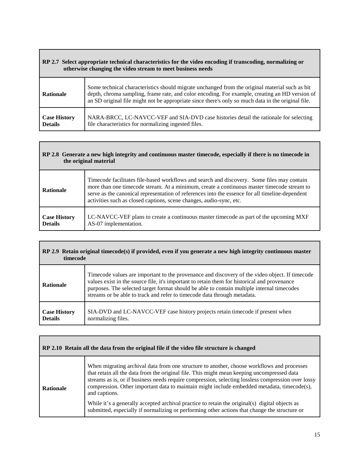## <span id="page-14-0"></span>**RP 2.7 Select appropriate technical characteristics for the video encoding if transcoding, normalizing or otherwise changing the video stream to meet business needs**  $\mathsf{l}$

| <b>Rationale</b>    | Some technical characteristics should migrate unchanged from the original material such as bit<br>depth, chroma sampling, frame rate, and color encoding. For example, creating an HD version of<br>an SD original file might not be appropriate since there's only so much data in the original file. |
|---------------------|--------------------------------------------------------------------------------------------------------------------------------------------------------------------------------------------------------------------------------------------------------------------------------------------------------|
| <b>Case History</b> | NARA-BRCC, LC-NAVCC-VEF and SIA-DVD case histories detail the rationale for selecting                                                                                                                                                                                                                  |
| <b>Details</b>      | file characteristics for normalizing ingested files.                                                                                                                                                                                                                                                   |

 $\overline{\phantom{a}}$ 

<span id="page-14-1"></span>

| RP 2.8 Generate a new high integrity and continuous master timecode, especially if there is no timecode in<br>the original material |                                                                                                                                                                                                                                                                                                                                                                    |
|-------------------------------------------------------------------------------------------------------------------------------------|--------------------------------------------------------------------------------------------------------------------------------------------------------------------------------------------------------------------------------------------------------------------------------------------------------------------------------------------------------------------|
| <b>Rationale</b>                                                                                                                    | Timecode facilitates file-based workflows and search and discovery. Some files may contain<br>more than one timecode stream. At a minimum, create a continuous master timecode stream to<br>serve as the canonical representation of references into the essence for all timeline-dependent<br>activities such as closed captions, scene changes, audio-sync, etc. |
| <b>Case History</b><br><b>Details</b>                                                                                               | LC-NAVCC-VEF plans to create a continuous master timecode as part of the upcoming MXF<br>AS-07 implementation.                                                                                                                                                                                                                                                     |

<span id="page-14-2"></span>

| RP 2.9 Retain original timecode(s) if provided, even if you generate a new high integrity continuous master<br>timecode |                                                                                                                                                                                                                                                                                                                                                                          |  |
|-------------------------------------------------------------------------------------------------------------------------|--------------------------------------------------------------------------------------------------------------------------------------------------------------------------------------------------------------------------------------------------------------------------------------------------------------------------------------------------------------------------|--|
| <b>Rationale</b>                                                                                                        | Timecode values are important to the provenance and discovery of the video object. If timecode<br>values exist in the source file, it's important to retain them for historical and provenance<br>purposes. The selected target format should be able to contain multiple internal timecodes<br>streams or be able to track and refer to timecode data through metadata. |  |
| <b>Case History</b><br><b>Details</b>                                                                                   | SIA-DVD and LC-NAVCC-VEF case history projects retain timecode if present when<br>normalizing files.                                                                                                                                                                                                                                                                     |  |

<span id="page-14-3"></span>

| When migrating archival data from one structure to another, choose workflows and processes<br>that retain all the data from the original file. This might mean keeping uncompressed data                                             | RP 2.10 Retain all the data from the original file if the video file structure is changed |                                                                                                                                                                                                   |  |  |
|--------------------------------------------------------------------------------------------------------------------------------------------------------------------------------------------------------------------------------------|-------------------------------------------------------------------------------------------|---------------------------------------------------------------------------------------------------------------------------------------------------------------------------------------------------|--|--|
| <b>Rationale</b><br>and captions.<br>While it's a generally accepted archival practice to retain the original(s) digital objects as<br>submitted, especially if normalizing or performing other actions that change the structure or |                                                                                           | streams as is, or if business needs require compression, selecting lossless compression over lossy<br>compression. Other important data to maintain might include embedded metadata, timecode(s), |  |  |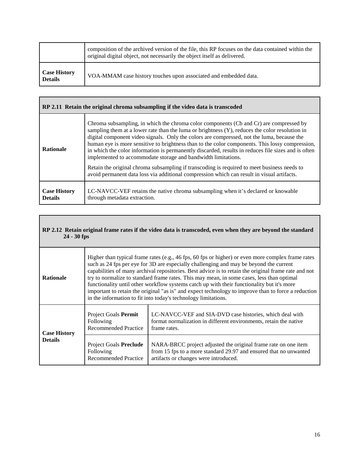|                                       | composition of the archived version of the file, this RP focuses on the data contained within the<br>original digital object, not necessarily the object itself as delivered. |  |
|---------------------------------------|-------------------------------------------------------------------------------------------------------------------------------------------------------------------------------|--|
| <b>Case History</b><br><b>Details</b> | VOA-MMAM case history touches upon associated and embedded data.                                                                                                              |  |

<span id="page-15-0"></span>

| RP 2.11 Retain the original chroma subsampling if the video data is transcoded |                                                                                                                                                                                                                                                                                                                                                                                                                                                                                                                                                                                                                                                                                                                                                                   |  |  |
|--------------------------------------------------------------------------------|-------------------------------------------------------------------------------------------------------------------------------------------------------------------------------------------------------------------------------------------------------------------------------------------------------------------------------------------------------------------------------------------------------------------------------------------------------------------------------------------------------------------------------------------------------------------------------------------------------------------------------------------------------------------------------------------------------------------------------------------------------------------|--|--|
| <b>Rationale</b>                                                               | Chroma subsampling, in which the chroma color components (Cb and Cr) are compressed by<br>sampling them at a lower rate than the luma or brightness $(Y)$ , reduces the color resolution in<br>digital component video signals. Only the colors are compressed, not the luma, because the<br>human eye is more sensitive to brightness than to the color components. This lossy compression,<br>in which the color information is permanently discarded, results in reduces file sizes and is often<br>implemented to accommodate storage and bandwidth limitations.<br>Retain the original chroma subsampling if transcoding is required to meet business needs to<br>avoid permanent data loss via additional compression which can result in visual artifacts. |  |  |
| <b>Case History</b><br><b>Details</b>                                          | LC-NAVCC-VEF retains the native chroma subsampling when it's declared or knowable<br>through metadata extraction.                                                                                                                                                                                                                                                                                                                                                                                                                                                                                                                                                                                                                                                 |  |  |

#### <span id="page-15-1"></span>**RP 2.12 Retain original frame rates if the video data is transcoded, even when they are beyond the standard 24 - 30 fps**

<span id="page-15-2"></span>

| <b>Rationale</b>                      | Higher than typical frame rates (e.g., 46 fps, 60 fps or higher) or even more complex frame rates<br>such as 24 fps per eye for 3D are especially challenging and may be beyond the current<br>capabilities of many archival repositories. Best advice is to retain the original frame rate and not<br>try to normalize to standard frame rates. This may mean, in some cases, less than optimal<br>functionality until other workflow systems catch up with their functionality but it's more<br>important to retain the original "as is" and expect technology to improve than to force a reduction<br>in the information to fit into today's technology limitations. |                                                                                                                                                                              |
|---------------------------------------|-------------------------------------------------------------------------------------------------------------------------------------------------------------------------------------------------------------------------------------------------------------------------------------------------------------------------------------------------------------------------------------------------------------------------------------------------------------------------------------------------------------------------------------------------------------------------------------------------------------------------------------------------------------------------|------------------------------------------------------------------------------------------------------------------------------------------------------------------------------|
| <b>Case History</b><br><b>Details</b> | Project Goals Permit<br>Following<br><b>Recommended Practice</b>                                                                                                                                                                                                                                                                                                                                                                                                                                                                                                                                                                                                        | LC-NAVCC-VEF and SIA-DVD case histories, which deal with<br>format normalization in different environments, retain the native<br>frame rates.                                |
|                                       | Project Goals Preclude<br>Following<br><b>Recommended Practice</b>                                                                                                                                                                                                                                                                                                                                                                                                                                                                                                                                                                                                      | NARA-BRCC project adjusted the original frame rate on one item<br>from 15 fps to a more standard 29.97 and ensured that no unwanted<br>artifacts or changes were introduced. |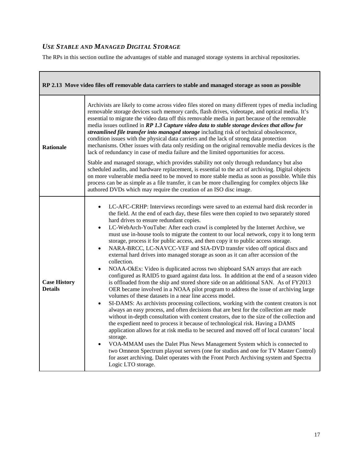### *USE STABLE AND MANAGED DIGITAL STORAGE*

The RPs in this section outline the advantages of stable and managed storage systems in archival repositories.

<span id="page-16-0"></span>

| RP 2.13 Move video files off removable data carriers to stable and managed storage as soon as possible |                                                                                                                                                                                                                                                                                                                                                                                                                                                                                                                                                                                                                                                                                                                                                                                                                                                                                                                                                                                                                                                                                                                                                                                                                                                                                                                                                                                                                                                                                                                                                                                                                                                                                                                                                                                                                                                                                                                      |  |  |
|--------------------------------------------------------------------------------------------------------|----------------------------------------------------------------------------------------------------------------------------------------------------------------------------------------------------------------------------------------------------------------------------------------------------------------------------------------------------------------------------------------------------------------------------------------------------------------------------------------------------------------------------------------------------------------------------------------------------------------------------------------------------------------------------------------------------------------------------------------------------------------------------------------------------------------------------------------------------------------------------------------------------------------------------------------------------------------------------------------------------------------------------------------------------------------------------------------------------------------------------------------------------------------------------------------------------------------------------------------------------------------------------------------------------------------------------------------------------------------------------------------------------------------------------------------------------------------------------------------------------------------------------------------------------------------------------------------------------------------------------------------------------------------------------------------------------------------------------------------------------------------------------------------------------------------------------------------------------------------------------------------------------------------------|--|--|
| <b>Rationale</b>                                                                                       | Archivists are likely to come across video files stored on many different types of media including<br>removable storage devices such memory cards, flash drives, videotape, and optical media. It's<br>essential to migrate the video data off this removable media in part because of the removable<br>media issues outlined in RP 1.3 Capture video data to stable storage devices that allow for<br>streamlined file transfer into managed storage including risk of technical obsolescence,<br>condition issues with the physical data carriers and the lack of strong data protection<br>mechanisms. Other issues with data only residing on the original removable media devices is the<br>lack of redundancy in case of media failure and the limited opportunities for access.                                                                                                                                                                                                                                                                                                                                                                                                                                                                                                                                                                                                                                                                                                                                                                                                                                                                                                                                                                                                                                                                                                                               |  |  |
|                                                                                                        | Stable and managed storage, which provides stability not only through redundancy but also<br>scheduled audits, and hardware replacement, is essential to the act of archiving. Digital objects<br>on more vulnerable media need to be moved to more stable media as soon as possible. While this<br>process can be as simple as a file transfer, it can be more challenging for complex objects like<br>authored DVDs which may require the creation of an ISO disc image.                                                                                                                                                                                                                                                                                                                                                                                                                                                                                                                                                                                                                                                                                                                                                                                                                                                                                                                                                                                                                                                                                                                                                                                                                                                                                                                                                                                                                                           |  |  |
| <b>Case History</b><br><b>Details</b>                                                                  | LC-AFC-CRHP: Interviews recordings were saved to an external hard disk recorder in<br>$\bullet$<br>the field. At the end of each day, these files were then copied to two separately stored<br>hard drives to ensure redundant copies.<br>LC-WebArch-YouTube: After each crawl is completed by the Internet Archive, we<br>$\bullet$<br>must use in-house tools to migrate the content to our local network, copy it to long term<br>storage, process it for public access, and then copy it to public access storage.<br>NARA-BRCC, LC-NAVCC-VEF and SIA-DVD transfer video off optical discs and<br>external hard drives into managed storage as soon as it can after accession of the<br>collection.<br>NOAA-OkEx: Video is duplicated across two shipboard SAN arrays that are each<br>$\bullet$<br>configured as RAID5 to guard against data loss. In addition at the end of a season video<br>is offloaded from the ship and stored shore side on an additional SAN. As of FY2013<br>OER became involved in a NOAA pilot program to address the issue of archiving large<br>volumes of these datasets in a near line access model.<br>SI-DAMS: As archivists processing collections, working with the content creators is not<br>$\bullet$<br>always an easy process, and often decisions that are best for the collection are made<br>without in-depth consultation with content creators, due to the size of the collection and<br>the expedient need to process it because of technological risk. Having a DAMS<br>application allows for at risk media to be secured and moved off of local curators' local<br>storage.<br>VOA-MMAM uses the Dalet Plus News Management System which is connected to<br>two Omneon Spectrum playout servers (one for studios and one for TV Master Control)<br>for asset archiving. Dalet operates with the Front Porch Archiving system and Spectra<br>Logic LTO storage. |  |  |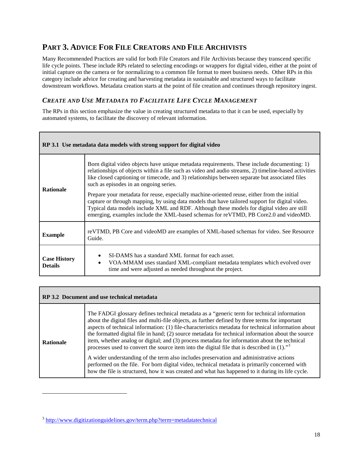## <span id="page-17-0"></span>**PART 3. ADVICE FOR FILE CREATORS AND FILE ARCHIVISTS**

Many Recommended Practices are valid for both File Creators and File Archivists because they transcend specific life cycle points. These include RPs related to selecting encodings or wrappers for digital video, either at the point of initial capture on the camera or for normalizing to a common file format to meet business needs. Other RPs in this category include advice for creating and harvesting metadata in sustainable and structured ways to facilitate downstream workflows. Metadata creation starts at the point of file creation and continues through repository ingest.

#### <span id="page-17-1"></span>*CREATE AND USE METADATA TO FACILITATE LIFE CYCLE MANAGEMENT*

The RPs in this section emphasize the value in creating structured metadata to that it can be used, especially by automated systems, to facilitate the discovery of relevant information.

<span id="page-17-2"></span>

| RP 3.1 Use metadata data models with strong support for digital video |                                                                                                                                                                                                                                                                                                                                                                                     |  |  |
|-----------------------------------------------------------------------|-------------------------------------------------------------------------------------------------------------------------------------------------------------------------------------------------------------------------------------------------------------------------------------------------------------------------------------------------------------------------------------|--|--|
| <b>Rationale</b>                                                      | Born digital video objects have unique metadata requirements. These include documenting: 1)<br>relationships of objects within a file such as video and audio streams, 2) timeline-based activities<br>like closed captioning or timecode, and 3) relationships between separate but associated files<br>such as episodes in an ongoing series.                                     |  |  |
|                                                                       | Prepare your metadata for reuse, especially machine-oriented reuse, either from the initial<br>capture or through mapping, by using data models that have tailored support for digital video.<br>Typical data models include XML and RDF. Although these models for digital video are still<br>emerging, examples include the XML-based schemas for reVTMD, PB Core2.0 and videoMD. |  |  |
| <b>Example</b>                                                        | reVTMD, PB Core and videoMD are examples of XML-based schemas for video. See Resource<br>Guide.                                                                                                                                                                                                                                                                                     |  |  |
| <b>Case History</b><br><b>Details</b>                                 | SI-DAMS has a standard XML format for each asset.<br>٠<br>VOA-MMAM uses standard XML-compliant metadata templates which evolved over<br>time and were adjusted as needed throughout the project.                                                                                                                                                                                    |  |  |

<span id="page-17-3"></span>

| RP 3.2 Document and use technical metadata |                                                                                                                                                                                                                                                                                                                                                                                                                                                                                                                                                                                                                                                                                                                                                                                                                                                                                                                             |  |  |
|--------------------------------------------|-----------------------------------------------------------------------------------------------------------------------------------------------------------------------------------------------------------------------------------------------------------------------------------------------------------------------------------------------------------------------------------------------------------------------------------------------------------------------------------------------------------------------------------------------------------------------------------------------------------------------------------------------------------------------------------------------------------------------------------------------------------------------------------------------------------------------------------------------------------------------------------------------------------------------------|--|--|
| <b>Rationale</b>                           | The FADGI glossary defines technical metadata as a "generic term for technical information"<br>about the digital files and multi-file objects, as further defined by three terms for important<br>aspects of technical information: (1) file-characteristics metadata for technical information about<br>the formatted digital file in hand; (2) source metadata for technical information about the source<br>item, whether analog or digital; and (3) process metadata for information about the technical<br>processes used to convert the source item into the digital file that is described in $(1)$ ." <sup>3</sup><br>A wider understanding of the term also includes preservation and administrative actions<br>performed on the file. For born digital video, technical metadata is primarily concerned with<br>how the file is structured, how it was created and what has happened to it during its life cycle. |  |  |

 $\overline{a}$ 

<span id="page-17-4"></span><sup>3</sup> <http://www.digitizationguidelines.gov/term.php?term=metadatatechnical>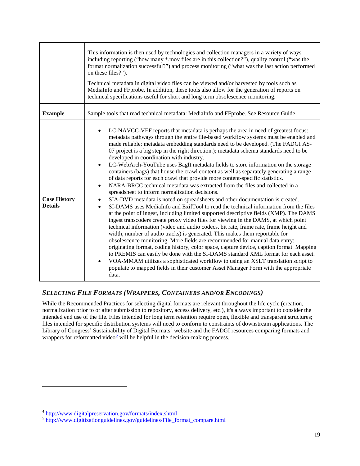|                                       | This information is then used by technologies and collection managers in a variety of ways<br>including reporting ("how many *.mov files are in this collection?"), quality control ("was the<br>format normalization successful?") and process monitoring ("what was the last action performed<br>on these files?").<br>Technical metadata in digital video files can be viewed and/or harvested by tools such as<br>MediaInfo and FFprobe. In addition, these tools also allow for the generation of reports on<br>technical specifications useful for short and long term obsolescence monitoring.                                                                                                                                                                                                                                                                                                                                                                                                                                                                                                                                                                                                                                                                                                                                                                                                                                                                                                                                                                                                                                                                                                                                                                                                                                                   |  |  |
|---------------------------------------|---------------------------------------------------------------------------------------------------------------------------------------------------------------------------------------------------------------------------------------------------------------------------------------------------------------------------------------------------------------------------------------------------------------------------------------------------------------------------------------------------------------------------------------------------------------------------------------------------------------------------------------------------------------------------------------------------------------------------------------------------------------------------------------------------------------------------------------------------------------------------------------------------------------------------------------------------------------------------------------------------------------------------------------------------------------------------------------------------------------------------------------------------------------------------------------------------------------------------------------------------------------------------------------------------------------------------------------------------------------------------------------------------------------------------------------------------------------------------------------------------------------------------------------------------------------------------------------------------------------------------------------------------------------------------------------------------------------------------------------------------------------------------------------------------------------------------------------------------------|--|--|
| <b>Example</b>                        | Sample tools that read technical metadata: MediaInfo and FFprobe. See Resource Guide.                                                                                                                                                                                                                                                                                                                                                                                                                                                                                                                                                                                                                                                                                                                                                                                                                                                                                                                                                                                                                                                                                                                                                                                                                                                                                                                                                                                                                                                                                                                                                                                                                                                                                                                                                                   |  |  |
| <b>Case History</b><br><b>Details</b> | LC-NAVCC-VEF reports that metadata is perhaps the area in need of greatest focus:<br>metadata pathways through the entire file-based workflow systems must be enabled and<br>made reliable; metadata embedding standards need to be developed. (The FADGI AS-<br>07 project is a big step in the right direction.); metadata schema standards need to be<br>developed in coordination with industry.<br>LC-WebArch-YouTube uses BagIt metadata fields to store information on the storage<br>$\bullet$<br>containers (bags) that house the crawl content as well as separately generating a range<br>of data reports for each crawl that provide more content-specific statistics.<br>NARA-BRCC technical metadata was extracted from the files and collected in a<br>$\bullet$<br>spreadsheet to inform normalization decisions.<br>SIA-DVD metadata is noted on spreadsheets and other documentation is created.<br>٠<br>SI-DAMS uses MediaInfo and ExifTool to read the technical information from the files<br>$\bullet$<br>at the point of ingest, including limited supported descriptive fields (XMP). The DAMS<br>ingest transcoders create proxy video files for viewing in the DAMS, at which point<br>technical information (video and audio codecs, bit rate, frame rate, frame height and<br>width, number of audio tracks) is generated. This makes them reportable for<br>obsolescence monitoring. More fields are recommended for manual data entry:<br>originating format, coding history, color space, capture device, caption format. Mapping<br>to PREMIS can easily be done with the SI-DAMS standard XML format for each asset.<br>VOA-MMAM utilizes a sophisticated workflow to using an XSLT translation script to<br>$\bullet$<br>populate to mapped fields in their customer Asset Manager Form with the appropriate<br>data. |  |  |

#### <span id="page-18-0"></span>*SELECTING FILE FORMATS (WRAPPERS, CONTAINERS AND/OR ENCODINGS)*

While the Recommended Practices for selecting digital formats are relevant throughout the life cycle (creation, normalization prior to or after submission to repository, access delivery, etc.), it's always important to consider the intended end use of the file. Files intended for long term retention require open, flexible and transparent structures; files intended for specific distribution systems will need to conform to constraints of downstream applications. The Library of Congress' [S](http://www.digitalpreservation.gov/formats/index.shtml)ustainability of Digital Formats<sup>[4](#page-18-1)</sup> website and the FADGI resources comparing formats and wrappers for reformatted video<sup>[5](#page-18-2)</sup> will be helpful in the decision-making process.

 $\overline{a}$ 

<span id="page-18-2"></span><span id="page-18-1"></span> $\frac{4}{s}$  <http://www.digitalpreservation.gov/formats/index.shtml><br> $\frac{5}{s}$  [http://www.digitizationguidelines.gov/guidelines/File\\_format\\_compare.html](http://www.digitizationguidelines.gov/guidelines/File_format_compare.html)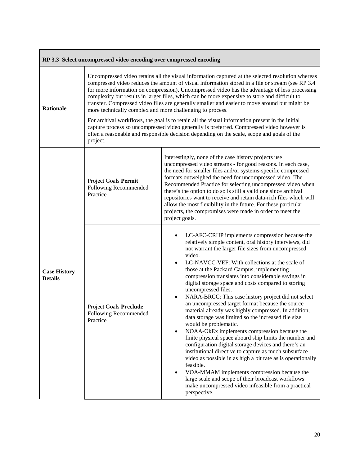<span id="page-19-0"></span>

| RP 3.3 Select uncompressed video encoding over compressed encoding |                                                                                                                                                                                                                                                                                                                                                                                                                                                                                                                                                                                                                                                                                                                                                                                                                                                                                  |                                                                                                                                                                                                                                                                                                                                                                                                                                                                                                                                                                                                                                                                                                                                                                                                                                                                                                                                                                                                                                                                                                                                                                                                                        |
|--------------------------------------------------------------------|----------------------------------------------------------------------------------------------------------------------------------------------------------------------------------------------------------------------------------------------------------------------------------------------------------------------------------------------------------------------------------------------------------------------------------------------------------------------------------------------------------------------------------------------------------------------------------------------------------------------------------------------------------------------------------------------------------------------------------------------------------------------------------------------------------------------------------------------------------------------------------|------------------------------------------------------------------------------------------------------------------------------------------------------------------------------------------------------------------------------------------------------------------------------------------------------------------------------------------------------------------------------------------------------------------------------------------------------------------------------------------------------------------------------------------------------------------------------------------------------------------------------------------------------------------------------------------------------------------------------------------------------------------------------------------------------------------------------------------------------------------------------------------------------------------------------------------------------------------------------------------------------------------------------------------------------------------------------------------------------------------------------------------------------------------------------------------------------------------------|
| <b>Rationale</b>                                                   | Uncompressed video retains all the visual information captured at the selected resolution whereas<br>compressed video reduces the amount of visual information stored in a file or stream (see RP 3.4)<br>for more information on compression). Uncompressed video has the advantage of less processing<br>complexity but results in larger files, which can be more expensive to store and difficult to<br>transfer. Compressed video files are generally smaller and easier to move around but might be<br>more technically complex and more challenging to process.<br>For archival workflows, the goal is to retain all the visual information present in the initial<br>capture process so uncompressed video generally is preferred. Compressed video however is<br>often a reasonable and responsible decision depending on the scale, scope and goals of the<br>project. |                                                                                                                                                                                                                                                                                                                                                                                                                                                                                                                                                                                                                                                                                                                                                                                                                                                                                                                                                                                                                                                                                                                                                                                                                        |
| <b>Case History</b><br><b>Details</b>                              | Project Goals Permit<br>Following Recommended<br>Practice                                                                                                                                                                                                                                                                                                                                                                                                                                                                                                                                                                                                                                                                                                                                                                                                                        | Interestingly, none of the case history projects use<br>uncompressed video streams - for good reasons. In each case,<br>the need for smaller files and/or systems-specific compressed<br>formats outweighed the need for uncompressed video. The<br>Recommended Practice for selecting uncompressed video when<br>there's the option to do so is still a valid one since archival<br>repositories want to receive and retain data-rich files which will<br>allow the most flexibility in the future. For these particular<br>projects, the compromises were made in order to meet the<br>project goals.                                                                                                                                                                                                                                                                                                                                                                                                                                                                                                                                                                                                                |
|                                                                    | Project Goals Preclude<br>Following Recommended<br>Practice                                                                                                                                                                                                                                                                                                                                                                                                                                                                                                                                                                                                                                                                                                                                                                                                                      | LC-AFC-CRHP implements compression because the<br>$\bullet$<br>relatively simple content, oral history interviews, did<br>not warrant the larger file sizes from uncompressed<br>video.<br>LC-NAVCC-VEF: With collections at the scale of<br>$\bullet$<br>those at the Packard Campus, implementing<br>compression translates into considerable savings in<br>digital storage space and costs compared to storing<br>uncompressed files.<br>NARA-BRCC: This case history project did not select<br>$\bullet$<br>an uncompressed target format because the source<br>material already was highly compressed. In addition,<br>data storage was limited so the increased file size<br>would be problematic.<br>NOAA-OkEx implements compression because the<br>$\bullet$<br>finite physical space aboard ship limits the number and<br>configuration digital storage devices and there's an<br>institutional directive to capture as much subsurface<br>video as possible in as high a bit rate as is operationally<br>feasible.<br>VOA-MMAM implements compression because the<br>$\bullet$<br>large scale and scope of their broadcast workflows<br>make uncompressed video infeasible from a practical<br>perspective. |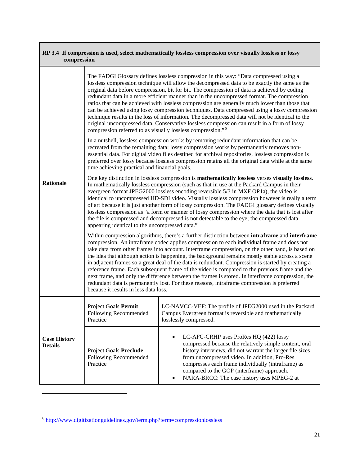<span id="page-20-0"></span>

| RP 3.4 If compression is used, select mathematically lossless compression over visually lossless or lossy<br>compression |                                                                                                                                                                                                                                                                                                                                                                                                                                                                                                                                                                                                                                                                                                                                                                                                                                                      |                                                                                                                                                                                                                                                                                                                                                                                                                                                                                                                                                                                                                                                                                                                                                                                            |  |
|--------------------------------------------------------------------------------------------------------------------------|------------------------------------------------------------------------------------------------------------------------------------------------------------------------------------------------------------------------------------------------------------------------------------------------------------------------------------------------------------------------------------------------------------------------------------------------------------------------------------------------------------------------------------------------------------------------------------------------------------------------------------------------------------------------------------------------------------------------------------------------------------------------------------------------------------------------------------------------------|--------------------------------------------------------------------------------------------------------------------------------------------------------------------------------------------------------------------------------------------------------------------------------------------------------------------------------------------------------------------------------------------------------------------------------------------------------------------------------------------------------------------------------------------------------------------------------------------------------------------------------------------------------------------------------------------------------------------------------------------------------------------------------------------|--|
|                                                                                                                          | compression referred to as visually lossless compression." <sup>6</sup>                                                                                                                                                                                                                                                                                                                                                                                                                                                                                                                                                                                                                                                                                                                                                                              | The FADGI Glossary defines lossless compression in this way: "Data compressed using a<br>lossless compression technique will allow the decompressed data to be exactly the same as the<br>original data before compression, bit for bit. The compression of data is achieved by coding<br>redundant data in a more efficient manner than in the uncompressed format. The compression<br>ratios that can be achieved with lossless compression are generally much lower than those that<br>can be achieved using lossy compression techniques. Data compressed using a lossy compression<br>technique results in the loss of information. The decompressed data will not be identical to the<br>original uncompressed data. Conservative lossless compression can result in a form of lossy |  |
| <b>Rationale</b>                                                                                                         | In a nutshell, lossless compression works by removing redundant information that can be<br>recreated from the remaining data; lossy compression works by permanently removes non-<br>essential data. For digital video files destined for archival repositories, lossless compression is<br>preferred over lossy because lossless compression retains all the original data while at the same<br>time achieving practical and financial goals.                                                                                                                                                                                                                                                                                                                                                                                                       |                                                                                                                                                                                                                                                                                                                                                                                                                                                                                                                                                                                                                                                                                                                                                                                            |  |
|                                                                                                                          | One key distinction in lossless compression is mathematically lossless verses visually lossless.<br>In mathematically lossless compression (such as that in use at the Packard Campus in their<br>evergreen format JPEG2000 lossless encoding reversible 5/3 in MXF OP1a), the video is<br>identical to uncompressed HD-SDI video. Visually lossless compression however is really a term<br>of art because it is just another form of lossy compression. The FADGI glossary defines visually<br>lossless compression as "a form or manner of lossy compression where the data that is lost after<br>the file is compressed and decompressed is not detectable to the eye; the compressed data<br>appearing identical to the uncompressed data."                                                                                                     |                                                                                                                                                                                                                                                                                                                                                                                                                                                                                                                                                                                                                                                                                                                                                                                            |  |
|                                                                                                                          | Within compression algorithms, there's a further distinction between intraframe and interframe<br>compression. An intraframe codec applies compression to each individual frame and does not<br>take data from other frames into account. Interframe compression, on the other hand, is based on<br>the idea that although action is happening, the background remains mostly stable across a scene<br>in adjacent frames so a great deal of the data is redundant. Compression is started by creating a<br>reference frame. Each subsequent frame of the video is compared to the previous frame and the<br>next frame, and only the difference between the frames is stored. In interframe compression, the<br>redundant data is permanently lost. For these reasons, intraframe compression is preferred<br>because it results in less data loss. |                                                                                                                                                                                                                                                                                                                                                                                                                                                                                                                                                                                                                                                                                                                                                                                            |  |
|                                                                                                                          | Project Goals Permit<br>Following Recommended<br>Practice                                                                                                                                                                                                                                                                                                                                                                                                                                                                                                                                                                                                                                                                                                                                                                                            | LC-NAVCC-VEF: The profile of JPEG2000 used in the Packard<br>Campus Evergreen format is reversible and mathematically<br>losslessly compressed.                                                                                                                                                                                                                                                                                                                                                                                                                                                                                                                                                                                                                                            |  |
| <b>Case History</b><br><b>Details</b>                                                                                    | Project Goals Preclude<br>Following Recommended<br>Practice                                                                                                                                                                                                                                                                                                                                                                                                                                                                                                                                                                                                                                                                                                                                                                                          | LC-AFC-CRHP uses ProRes HQ (422) lossy<br>٠<br>compressed because the relatively simple content, oral<br>history interviews, did not warrant the larger file sizes<br>from uncompressed video. In addition, Pro-Res<br>compresses each frame individually (intraframe) as<br>compared to the GOP (interframe) approach.<br>NARA-BRCC: The case history uses MPEG-2 at                                                                                                                                                                                                                                                                                                                                                                                                                      |  |

 $\overline{a}$ 

<span id="page-20-1"></span><sup>6</sup> <http://www.digitizationguidelines.gov/term.php?term=compressionlossless>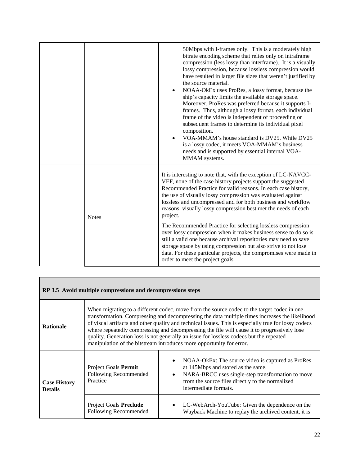|  |              | 50Mbps with I-frames only. This is a moderately high<br>bitrate encoding scheme that relies only on intraframe<br>compression (less lossy than interframe). It is a visually<br>lossy compression, because lossless compression would<br>have resulted in larger file sizes that weren't justified by<br>the source material.<br>NOAA-OkEx uses ProRes, a lossy format, because the<br>ship's capacity limits the available storage space.<br>Moreover, ProRes was preferred because it supports I-<br>frames. Thus, although a lossy format, each individual<br>frame of the video is independent of proceeding or<br>subsequent frames to determine its individual pixel<br>composition.<br>VOA-MMAM's house standard is DV25. While DV25<br>is a lossy codec, it meets VOA-MMAM's business<br>needs and is supported by essential internal VOA-<br>MMAM systems. |
|--|--------------|---------------------------------------------------------------------------------------------------------------------------------------------------------------------------------------------------------------------------------------------------------------------------------------------------------------------------------------------------------------------------------------------------------------------------------------------------------------------------------------------------------------------------------------------------------------------------------------------------------------------------------------------------------------------------------------------------------------------------------------------------------------------------------------------------------------------------------------------------------------------|
|  | <b>Notes</b> | It is interesting to note that, with the exception of LC-NAVCC-<br>VEF, none of the case history projects support the suggested<br>Recommended Practice for valid reasons. In each case history,<br>the use of visually lossy compression was evaluated against<br>lossless and uncompressed and for both business and workflow<br>reasons, visually lossy compression best met the needs of each<br>project.<br>The Recommended Practice for selecting lossless compression                                                                                                                                                                                                                                                                                                                                                                                        |
|  |              | over lossy compression when it makes business sense to do so is<br>still a valid one because archival repositories may need to save<br>storage space by using compression but also strive to not lose<br>data. For these particular projects, the compromises were made in<br>order to meet the project goals.                                                                                                                                                                                                                                                                                                                                                                                                                                                                                                                                                      |

<span id="page-21-0"></span>

| RP 3.5 Avoid multiple compressions and decompressions steps |                                                           |                                                                                                                                                                                                                                                                                                                                                                                                                                                                                                                                                                        |
|-------------------------------------------------------------|-----------------------------------------------------------|------------------------------------------------------------------------------------------------------------------------------------------------------------------------------------------------------------------------------------------------------------------------------------------------------------------------------------------------------------------------------------------------------------------------------------------------------------------------------------------------------------------------------------------------------------------------|
| <b>Rationale</b>                                            |                                                           | When migrating to a different codec, move from the source codec to the target codec in one<br>transformation. Compressing and decompressing the data multiple times increases the likelihood<br>of visual artifacts and other quality and technical issues. This is especially true for lossy codecs<br>where repeatedly compressing and decompressing the file will cause it to progressively lose<br>quality. Generation loss is not generally an issue for lossless codecs but the repeated<br>manipulation of the bitstream introduces more opportunity for error. |
| <b>Case History</b><br><b>Details</b>                       | Project Goals Permit<br>Following Recommended<br>Practice | NOAA-OkEx: The source video is captured as ProRes<br>at 145Mbps and stored as the same.<br>NARA-BRCC uses single-step transformation to move<br>from the source files directly to the normalized<br>intermediate formats.                                                                                                                                                                                                                                                                                                                                              |
|                                                             | Project Goals Preclude<br>Following Recommended           | LC-WebArch-YouTube: Given the dependence on the<br>Wayback Machine to replay the archived content, it is                                                                                                                                                                                                                                                                                                                                                                                                                                                               |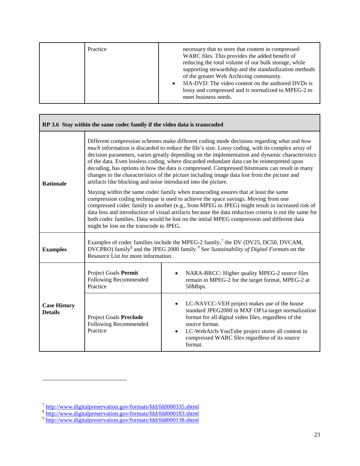| Practice | necessary that to store that content in compressed<br>WARC files. This provides the added benefit of<br>reducing the total volume of our bulk storage, while<br>supporting stewardship and the standardization methods<br>of the greater Web Archiving community.<br>SIA-DVD: The video content on the authored DVDs is<br>lossy and compressed and is normalized to MPEG-2 to<br>meet business needs. |
|----------|--------------------------------------------------------------------------------------------------------------------------------------------------------------------------------------------------------------------------------------------------------------------------------------------------------------------------------------------------------------------------------------------------------|
|----------|--------------------------------------------------------------------------------------------------------------------------------------------------------------------------------------------------------------------------------------------------------------------------------------------------------------------------------------------------------------------------------------------------------|

<span id="page-22-0"></span>

| RP 3.6 Stay within the same codec family if the video data is transcoded |                                                                                                                                                                                                                                                                                                                                                                                                                                                                                                                                 |                                                                                                                                                                                                                                                                                                                                                                                                                                                                                                                                                                                                  |
|--------------------------------------------------------------------------|---------------------------------------------------------------------------------------------------------------------------------------------------------------------------------------------------------------------------------------------------------------------------------------------------------------------------------------------------------------------------------------------------------------------------------------------------------------------------------------------------------------------------------|--------------------------------------------------------------------------------------------------------------------------------------------------------------------------------------------------------------------------------------------------------------------------------------------------------------------------------------------------------------------------------------------------------------------------------------------------------------------------------------------------------------------------------------------------------------------------------------------------|
| <b>Rationale</b>                                                         | artifacts like blocking and noise introduced into the picture.                                                                                                                                                                                                                                                                                                                                                                                                                                                                  | Different compression schemes make different coding mode decisions regarding what and how<br>much information is discarded to reduce the file's size. Lossy coding, with its complex array of<br>decision parameters, varies greatly depending on the implementation and dynamic characteristics<br>of the data. Even lossless coding, where discarded redundant data can be reinterpreted upon<br>decoding, has options in how the data is compressed. Compressed bitstreams can result in many<br>changes to the characteristics of the picture including image data lost from the picture and |
|                                                                          | Staying within the same codec family when transcoding assures that at least the same<br>compression coding technique is used to achieve the space savings. Moving from one<br>compressed codec family to another (e.g., from MPEG to JPEG) might result in increased risk of<br>data loss and introduction of visual artifacts because the data reduction criteria is not the same for<br>both codec families. Data would be lost on the initial MPEG compression and different data<br>might be lost on the transcode to JPEG. |                                                                                                                                                                                                                                                                                                                                                                                                                                                                                                                                                                                                  |
| <b>Examples</b>                                                          | Examples of codec families include the MPEG-2 family, <sup>7</sup> the DV (DV25, DC50, DVCAM,<br>DVCPRO) family $^8$ and the JPEG 2000 family. <sup>9</sup> See Sustainability of Digital Formats on the<br>Resource List for more information.                                                                                                                                                                                                                                                                                 |                                                                                                                                                                                                                                                                                                                                                                                                                                                                                                                                                                                                  |
| <b>Case History</b><br><b>Details</b>                                    | Project Goals Permit<br>Following Recommended<br>Practice                                                                                                                                                                                                                                                                                                                                                                                                                                                                       | NARA-BRCC: Higher quality MPEG-2 source files<br>remain in MPEG-2 for the target format, MPEG-2 at<br>50Mbps.                                                                                                                                                                                                                                                                                                                                                                                                                                                                                    |
|                                                                          | <b>Project Goals Preclude</b><br>Following Recommended<br>Practice                                                                                                                                                                                                                                                                                                                                                                                                                                                              | LC-NAVCC-VEH project makes use of the house<br>$\bullet$<br>standard JPEG2000 in MXF OP1a target normalization<br>format for all digital video files, regardless of the<br>source format.<br>LC-WebArch-YouTube project stores all content in<br>$\bullet$<br>compressed WARC files regardless of its source<br>format.                                                                                                                                                                                                                                                                          |

 $\overline{a}$ 

Г

<span id="page-22-1"></span><sup>&</sup>lt;sup>7</sup> <http://www.digitalpreservation.gov/formats/fdd/fdd000335.shtml>

<span id="page-22-2"></span><sup>&</sup>lt;sup>8</sup> <http://www.digitalpreservation.gov/formats/fdd/fdd000183.shtml>

<span id="page-22-3"></span><sup>&</sup>lt;sup>9</sup> <http://www.digitalpreservation.gov/formats/fdd/fdd000138.shtml>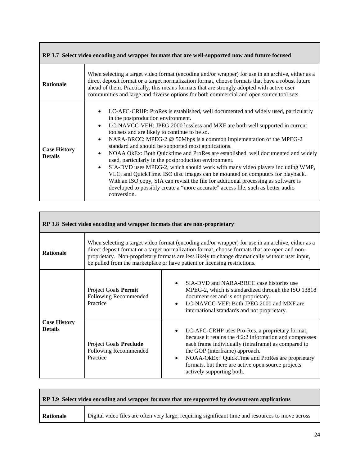<span id="page-23-0"></span>

| RP 3.7 Select video encoding and wrapper formats that are well-supported now and future focused |                                                                                                                                                                                                                                                                                                                                                                                                                                                                                                                                                                                                                                                                                                                                                                                                                                                                                                                                                    |  |
|-------------------------------------------------------------------------------------------------|----------------------------------------------------------------------------------------------------------------------------------------------------------------------------------------------------------------------------------------------------------------------------------------------------------------------------------------------------------------------------------------------------------------------------------------------------------------------------------------------------------------------------------------------------------------------------------------------------------------------------------------------------------------------------------------------------------------------------------------------------------------------------------------------------------------------------------------------------------------------------------------------------------------------------------------------------|--|
| <b>Rationale</b>                                                                                | When selecting a target video format (encoding and/or wrapper) for use in an archive, either as a<br>direct deposit format or a target normalization format, choose formats that have a robust future<br>ahead of them. Practically, this means formats that are strongly adopted with active user<br>communities and large and diverse options for both commercial and open source tool sets.                                                                                                                                                                                                                                                                                                                                                                                                                                                                                                                                                     |  |
| <b>Case History</b><br><b>Details</b>                                                           | LC-AFC-CRHP: ProRes is established, well documented and widely used, particularly<br>in the postproduction environment.<br>LC-NAVCC-VEH: JPEG 2000 lossless and MXF are both well supported in current<br>$\bullet$<br>toolsets and are likely to continue to be so.<br>NARA-BRCC: MPEG-2 @ 50Mbps is a common implementation of the MPEG-2<br>$\bullet$<br>standard and should be supported most applications.<br>NOAA OkEx: Both Quicktime and ProRes are established, well documented and widely<br>$\bullet$<br>used, particularly in the postproduction environment.<br>SIA-DVD uses MPEG-2, which should work with many video players including WMP,<br>$\bullet$<br>VLC, and QuickTime. ISO disc images can be mounted on computers for playback.<br>With an ISO copy, SIA can revisit the file for additional processing as software is<br>developed to possibly create a "more accurate" access file, such as better audio<br>conversion. |  |

<span id="page-23-1"></span>

| RP 3.8 Select video encoding and wrapper formats that are non-proprietary |                                                                                                                                                                                                                                                                                                                                                                                    |                                                                                                                                                                                                                                                                                                                                                                     |
|---------------------------------------------------------------------------|------------------------------------------------------------------------------------------------------------------------------------------------------------------------------------------------------------------------------------------------------------------------------------------------------------------------------------------------------------------------------------|---------------------------------------------------------------------------------------------------------------------------------------------------------------------------------------------------------------------------------------------------------------------------------------------------------------------------------------------------------------------|
| <b>Rationale</b>                                                          | When selecting a target video format (encoding and/or wrapper) for use in an archive, either as a<br>direct deposit format or a target normalization format, choose formats that are open and non-<br>proprietary. Non-proprietary formats are less likely to change dramatically without user input,<br>be pulled from the marketplace or have patient or licensing restrictions. |                                                                                                                                                                                                                                                                                                                                                                     |
| <b>Case History</b><br><b>Details</b>                                     | Project Goals Permit<br>Following Recommended<br>Practice                                                                                                                                                                                                                                                                                                                          | SIA-DVD and NARA-BRCC case histories use<br>$\bullet$<br>MPEG-2, which is standardized through the ISO 13818<br>document set and is not proprietary.<br>LC-NAVCC-VEF: Both JPEG 2000 and MXF are<br>$\bullet$<br>international standards and not proprietary.                                                                                                       |
|                                                                           | Project Goals Preclude<br>Following Recommended<br>Practice                                                                                                                                                                                                                                                                                                                        | LC-AFC-CRHP uses Pro-Res, a proprietary format,<br>$\bullet$<br>because it retains the 4:2:2 information and compresses<br>each frame individually (intraframe) as compared to<br>the GOP (interframe) approach.<br>NOAA-OkEx: QuickTime and ProRes are proprietary<br>$\bullet$<br>formats, but there are active open source projects<br>actively supporting both. |

 $\Gamma$ 

<span id="page-23-2"></span>

| RP 3.9 Select video encoding and wrapper formats that are supported by downstream applications |                                                                                                   |  |
|------------------------------------------------------------------------------------------------|---------------------------------------------------------------------------------------------------|--|
| Rationale                                                                                      | Digital video files are often very large, requiring significant time and resources to move across |  |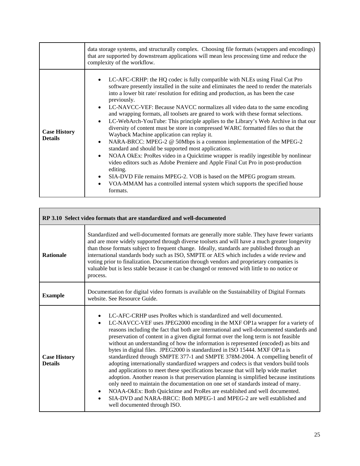|                                       | data storage systems, and structurally complex. Choosing file formats (wrappers and encodings)<br>that are supported by downstream applications will mean less processing time and reduce the<br>complexity of the workflow.                                                                                                                                                                                                                                                                                                                                                                                                                                                                                                                                                                                                                                                                                                                                                                                                                                                                                                                                        |
|---------------------------------------|---------------------------------------------------------------------------------------------------------------------------------------------------------------------------------------------------------------------------------------------------------------------------------------------------------------------------------------------------------------------------------------------------------------------------------------------------------------------------------------------------------------------------------------------------------------------------------------------------------------------------------------------------------------------------------------------------------------------------------------------------------------------------------------------------------------------------------------------------------------------------------------------------------------------------------------------------------------------------------------------------------------------------------------------------------------------------------------------------------------------------------------------------------------------|
| <b>Case History</b><br><b>Details</b> | LC-AFC-CRHP: the HQ codec is fully compatible with NLEs using Final Cut Pro<br>software presently installed in the suite and eliminates the need to render the materials<br>into a lower bit rate/ resolution for editing and production, as has been the case<br>previously.<br>LC-NAVCC-VEF: Because NAVCC normalizes all video data to the same encoding<br>and wrapping formats, all toolsets are geared to work with these format selections.<br>LC-WebArch-YouTube: This principle applies to the Library's Web Archive in that our<br>diversity of content must be store in compressed WARC formatted files so that the<br>Wayback Machine application can replay it.<br>NARA-BRCC: MPEG-2 @ 50Mbps is a common implementation of the MPEG-2<br>standard and should be supported most applications.<br>NOAA OkEx: ProRes video in a Quicktime wrapper is readily ingestible by nonlinear<br>video editors such as Adobe Premiere and Apple Final Cut Pro in post-production<br>editing.<br>SIA-DVD File remains MPEG-2. VOB is based on the MPEG program stream.<br>VOA-MMAM has a controlled internal system which supports the specified house<br>formats. |

<span id="page-24-0"></span>

| RP 3.10 Select video formats that are standardized and well-documented |                                                                                                                                                                                                                                                                                                                                                                                                                                                                                                                                                                                                                                                                                                                                                                                                                                                                                                                                                                                                                                                                                                                                                                                   |  |
|------------------------------------------------------------------------|-----------------------------------------------------------------------------------------------------------------------------------------------------------------------------------------------------------------------------------------------------------------------------------------------------------------------------------------------------------------------------------------------------------------------------------------------------------------------------------------------------------------------------------------------------------------------------------------------------------------------------------------------------------------------------------------------------------------------------------------------------------------------------------------------------------------------------------------------------------------------------------------------------------------------------------------------------------------------------------------------------------------------------------------------------------------------------------------------------------------------------------------------------------------------------------|--|
| <b>Rationale</b>                                                       | Standardized and well-documented formats are generally more stable. They have fewer variants<br>and are more widely supported through diverse toolsets and will have a much greater longevity<br>than those formats subject to frequent change. Ideally, standards are published through an<br>international standards body such as ISO, SMPTE or AES which includes a wide review and<br>voting prior to finalization. Documentation through vendors and proprietary companies is<br>valuable but is less stable because it can be changed or removed with little to no notice or<br>process.                                                                                                                                                                                                                                                                                                                                                                                                                                                                                                                                                                                    |  |
| <b>Example</b>                                                         | Documentation for digital video formats is available on the Sustainability of Digital Formats<br>website. See Resource Guide.                                                                                                                                                                                                                                                                                                                                                                                                                                                                                                                                                                                                                                                                                                                                                                                                                                                                                                                                                                                                                                                     |  |
| <b>Case History</b><br><b>Details</b>                                  | LC-AFC-CRHP uses ProRes which is standardized and well documented.<br>LC-NAVCC-VEF uses JPEG2000 encoding in the MXF OP1a wrapper for a variety of<br>$\bullet$<br>reasons including the fact that both are international and well-documented standards and<br>preservation of content in a given digital format over the long term is not feasible<br>without an understanding of how the information is represented (encoded) as bits and<br>bytes in digital files. JPEG2000 is standardized in ISO 15444. MXF OP1a is<br>standardized through SMPTE 377-1 and SMPTE 378M-2004. A compelling benefit of<br>adopting internationally standardized wrappers and codecs is that vendors build tools<br>and applications to meet these specifications because that will help wide market<br>adoption. Another reason is that preservation planning is simplified because institutions<br>only need to maintain the documentation on one set of standards instead of many.<br>NOAA-OkEx: Both Quicktime and ProRes are established and well documented.<br>٠<br>SIA-DVD and NARA-BRCC: Both MPEG-1 and MPEG-2 are well established and<br>$\bullet$<br>well documented through ISO. |  |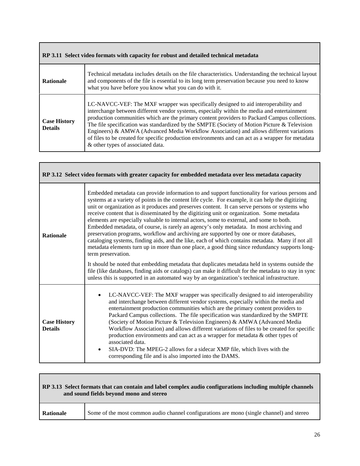<span id="page-25-0"></span>

| RP 3.11 Select video formats with capacity for robust and detailed technical metadata |                                                                                                                                                                                                                                                                                                                                                                                                                                                                                                                                                                                                                          |  |
|---------------------------------------------------------------------------------------|--------------------------------------------------------------------------------------------------------------------------------------------------------------------------------------------------------------------------------------------------------------------------------------------------------------------------------------------------------------------------------------------------------------------------------------------------------------------------------------------------------------------------------------------------------------------------------------------------------------------------|--|
| <b>Rationale</b>                                                                      | Technical metadata includes details on the file characteristics. Understanding the technical layout<br>and components of the file is essential to its long term preservation because you need to know<br>what you have before you know what you can do with it.                                                                                                                                                                                                                                                                                                                                                          |  |
| <b>Case History</b><br><b>Details</b>                                                 | LC-NAVCC-VEF: The MXF wrapper was specifically designed to aid interoperability and<br>interchange between different vendor systems, especially within the media and entertainment<br>production communities which are the primary content providers to Packard Campus collections.<br>The file specification was standardized by the SMPTE (Society of Motion Picture & Television<br>Engineers) & AMWA (Advanced Media Workflow Association) and allows different variations<br>of files to be created for specific production environments and can act as a wrapper for metadata<br>& other types of associated data. |  |

Г

Г

<span id="page-25-1"></span>

| RP 3.12 Select video formats with greater capacity for embedded metadata over less metadata capacity |                                                                                                                                                                                                                                                                                                                                                                                                                                                                                                                                                                                                                                                                                                                                                                                                                                                                                                                                                                                                                                                                                                                                                                                                                              |  |
|------------------------------------------------------------------------------------------------------|------------------------------------------------------------------------------------------------------------------------------------------------------------------------------------------------------------------------------------------------------------------------------------------------------------------------------------------------------------------------------------------------------------------------------------------------------------------------------------------------------------------------------------------------------------------------------------------------------------------------------------------------------------------------------------------------------------------------------------------------------------------------------------------------------------------------------------------------------------------------------------------------------------------------------------------------------------------------------------------------------------------------------------------------------------------------------------------------------------------------------------------------------------------------------------------------------------------------------|--|
| <b>Rationale</b>                                                                                     | Embedded metadata can provide information to and support functionality for various persons and<br>systems at a variety of points in the content life cycle. For example, it can help the digitizing<br>unit or organization as it produces and preserves content. It can serve persons or systems who<br>receive content that is disseminated by the digitizing unit or organization. Some metadata<br>elements are especially valuable to internal actors, some to external, and some to both.<br>Embedded metadata, of course, is rarely an agency's only metadata. In most archiving and<br>preservation programs, workflow and archiving are supported by one or more databases,<br>cataloging systems, finding aids, and the like, each of which contains metadata. Many if not all<br>metadata elements turn up in more than one place, a good thing since redundancy supports long-<br>term preservation.<br>It should be noted that embedding metadata that duplicates metadata held in systems outside the<br>file (like databases, finding aids or catalogs) can make it difficult for the metadata to stay in sync<br>unless this is supported in an automated way by an organization's technical infrastructure. |  |
| <b>Case History</b><br><b>Details</b>                                                                | LC-NAVCC-VEF: The MXF wrapper was specifically designed to aid interoperability<br>$\bullet$<br>and interchange between different vendor systems, especially within the media and<br>entertainment production communities which are the primary content providers to<br>Packard Campus collections. The file specification was standardized by the SMPTE<br>(Society of Motion Picture & Television Engineers) & AMWA (Advanced Media<br>Workflow Association) and allows different variations of files to be created for specific<br>production environments and can act as a wrapper for metadata & other types of<br>associated data.<br>SIA-DVD: The MPEG-2 allows for a sidecar XMP file, which lives with the<br>$\bullet$<br>corresponding file and is also imported into the DAMS.                                                                                                                                                                                                                                                                                                                                                                                                                                   |  |

## <span id="page-25-2"></span>**RP 3.13 Select formats that can contain and label complex audio configurations including multiple channels and sound fields beyond mono and stereo Rationale** Some of the most common audio channel configurations are mono (single channel) and stereo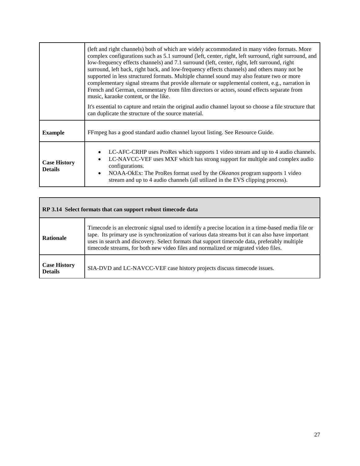|                                       | (left and right channels) both of which are widely accommodated in many video formats. More<br>complex configurations such as 5.1 surround (left, center, right, left surround, right surround, and<br>low-frequency effects channels) and 7.1 surround (left, center, right, left surround, right<br>surround, left back, right back, and low-frequency effects channels) and others many not be<br>supported in less structured formats. Multiple channel sound may also feature two or more<br>complementary signal streams that provide alternate or supplemental content, e.g., narration in<br>French and German, commentary from film directors or actors, sound effects separate from<br>music, karaoke content, or the like. |  |
|---------------------------------------|---------------------------------------------------------------------------------------------------------------------------------------------------------------------------------------------------------------------------------------------------------------------------------------------------------------------------------------------------------------------------------------------------------------------------------------------------------------------------------------------------------------------------------------------------------------------------------------------------------------------------------------------------------------------------------------------------------------------------------------|--|
|                                       | It's essential to capture and retain the original audio channel layout so choose a file structure that<br>can duplicate the structure of the source material.                                                                                                                                                                                                                                                                                                                                                                                                                                                                                                                                                                         |  |
| <b>Example</b>                        | FFmpeg has a good standard audio channel layout listing. See Resource Guide.                                                                                                                                                                                                                                                                                                                                                                                                                                                                                                                                                                                                                                                          |  |
| <b>Case History</b><br><b>Details</b> | LC-AFC-CRHP uses ProRes which supports 1 video stream and up to 4 audio channels.<br>٠<br>LC-NAVCC-VEF uses MXF which has strong support for multiple and complex audio<br>$\bullet$<br>configurations.<br>NOAA-OkEx: The ProRes format used by the <i>Okeanos</i> program supports 1 video<br>$\bullet$<br>stream and up to 4 audio channels (all utilized in the EVS clipping process).                                                                                                                                                                                                                                                                                                                                             |  |

<span id="page-26-1"></span><span id="page-26-0"></span>

| RP 3.14 Select formats that can support robust timecode data |                                                                                                                                                                                                                                                                                                                                                                                             |  |
|--------------------------------------------------------------|---------------------------------------------------------------------------------------------------------------------------------------------------------------------------------------------------------------------------------------------------------------------------------------------------------------------------------------------------------------------------------------------|--|
| <b>Rationale</b>                                             | Timecode is an electronic signal used to identify a precise location in a time-based media file or<br>tape. Its primary use is synchronization of various data streams but it can also have important<br>uses in search and discovery. Select formats that support timecode data, preferably multiple<br>timecode streams, for both new video files and normalized or migrated video files. |  |
| <b>Case History</b><br><b>Details</b>                        | SIA-DVD and LC-NAVCC-VEF case history projects discuss timecode issues.                                                                                                                                                                                                                                                                                                                     |  |